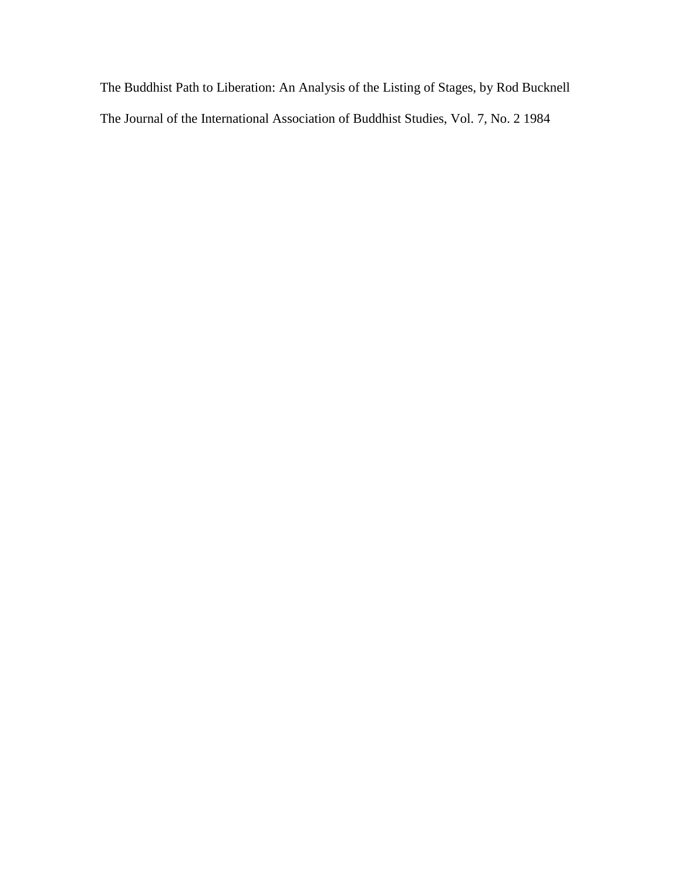The Buddhist Path to Liberation: An Analysis of the Listing of Stages, by Rod Bucknell The Journal of the International Association of Buddhist Studies, Vol. 7, No. 2 1984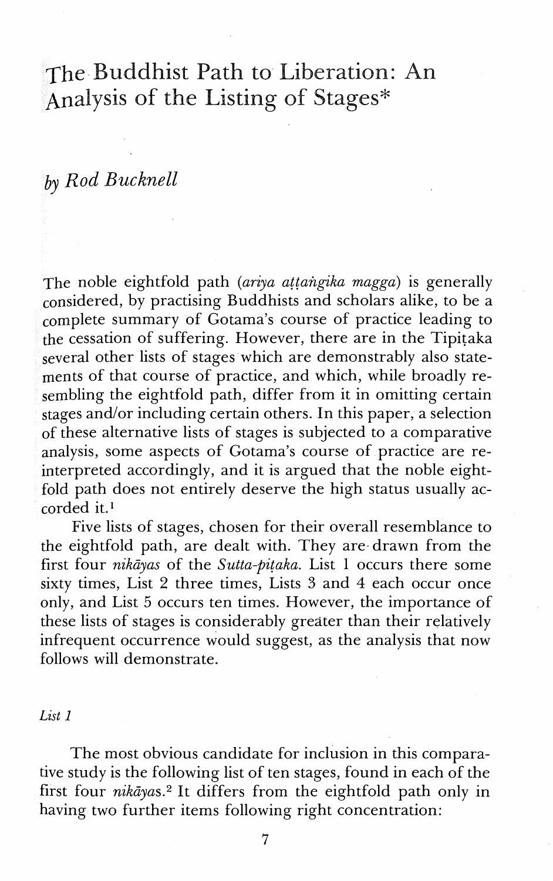# The Buddhist Path to Liberation: An Analysis of the Listing of Stages\*

## by *Rod Bucknell*

The noble eightfold path *(ariya attangika magga)* is generally considered, by practising Buddhists and scholars alike, to be a complete summary of Gotama's course of practice leading to the cessation of suffering. However, there are in the Tipitaka several other lists of stages which are demonstrably also statements of that course of practice, and which, while broadly resembling the eightfold path, differ from it in omitting certain stages and/or including certain others. In this paper, a selection of these alternative lists of stages is subjected to a comparative analysis, some aspects of Gotama's course of practice are reinterpreted accordingly, and it is argued that the noble eightfold path does not entirely deserve the high status usually accorded it.'

Five lists of stages, chosen for their overall resemblance to the eightfold path, are dealt with. They are drawn from the first four *nikdyas* of the *Sutta-pitaka.* List 1 occurs there some sixty times, List 2 three times, Lists **3** and 4 each occur once only, and List 5 occurs ten times. However, the importance of these lists of stages is considerably greater than their relatively infrequent occurrence would suggest, as the analysis that now follows will demonstrate.

*List 1* 

The most obvious candidate for inclusion in this comparative study is the following list of ten stages, found in each of the first four nikdyas.2 It differs from the eightfold path only in having two further items following right concentration: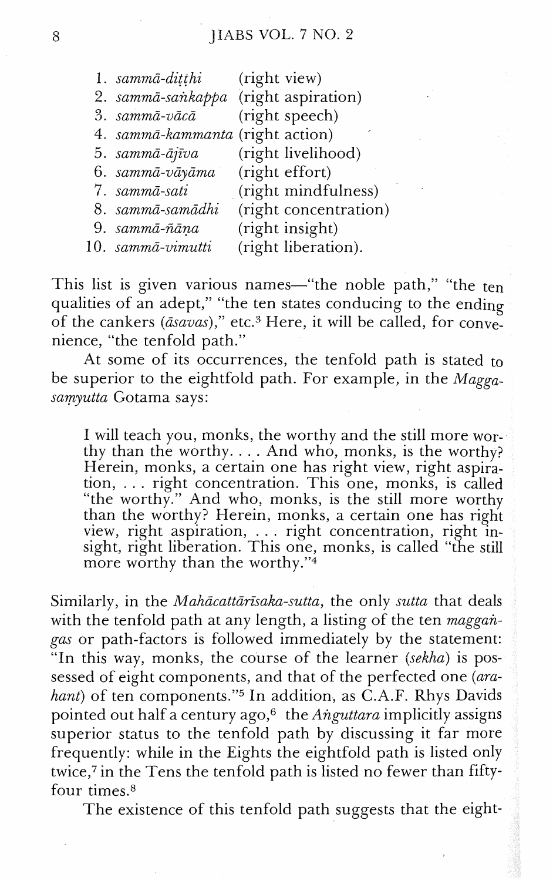| 1. sammā-ditthi                  | (right view)          |  |
|----------------------------------|-----------------------|--|
| 2. sammā-sankappa                | (right aspiration)    |  |
| 3. sammā-vācā                    | (right speech)        |  |
| 4. sammā-kammanta (right action) |                       |  |
| 5. sammā-ājīva                   | (right livelihood)    |  |
| 6. sammā-vāyāma                  | (right effort)        |  |
| 7. sammā-sati                    | (right mindfulness)   |  |
| 8. sammā-samādhi                 | (right concentration) |  |
| 9. sammā-ñāņa                    | (right insight)       |  |
| 10. sammā-vimutti                | (right liberation).   |  |
|                                  |                       |  |

This list is given various names-"the noble path," "the ten qualities of an adept," "the ten states conducing to the ending of the cankers ( $\overline{asavas}$ )," etc.<sup>3</sup> Here, it will be called, for convenience, "the tenfold path."

At some of its occurrences, the tenfold path is stated to be superior to the eightfold path. For example, in the  $Magga$ samyutta Gotama says:

I will teach you, monks, the worthy and the still more worthy than the worthy.  $\ldots$  And who, monks, is the worthy? Herein, monks, a certain one has right view, right aspiration, ... right concentration. This one, monks, is called "the worthy." And who, monks, is the still more worthy than the worthy? Herein, monks, a certain one has right view, right aspiration,  $\dots$  right concentration, right insight, right liberation. This one, monks, is called "the still" more worthy than the worthy."<sup>4</sup>

Similarly, in the *Mahācattārīsaka-sutta*, the only *sutta* that deals with the tenfold path at any length, a listing of the ten maggangas or path-factors is followed immediately by the statement: "In this way, monks, the course of the learner (sekha) is possessed of eight components, and that of the perfected one (arahant) of ten components."<sup>5</sup> In addition, as C.A.F. Rhys Davids pointed out half a century ago,<sup>6</sup> the Anguttara implicitly assigns superior status to the tenfold path by discussing it far more frequently: while in the Eights the eightfold path is listed only twice,<sup>7</sup> in the Tens the tenfold path is listed no fewer than fiftyfour times.<sup>8</sup>

The existence of this tenfold path suggests that the eight-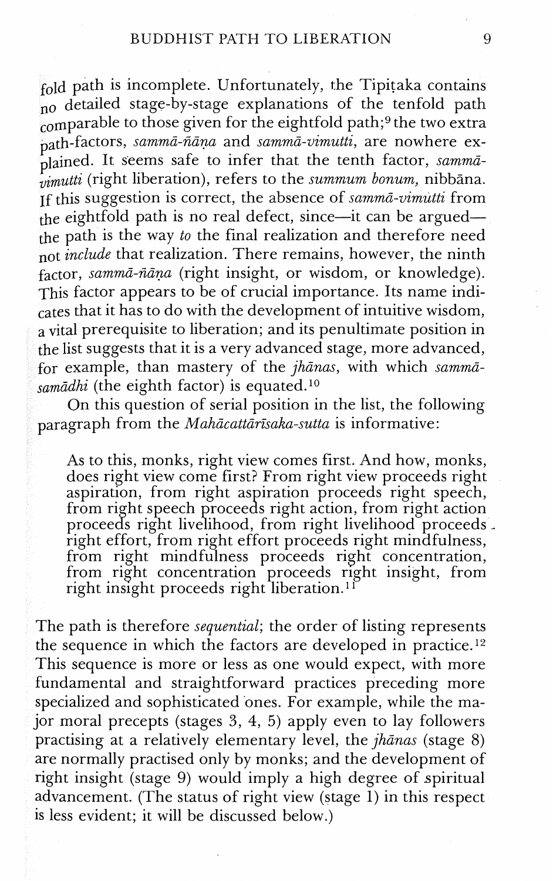fold path is incomplete. Unfortunately, the Tipitaka contains  $\frac{1}{100}$  detailed stage-by-stage explanations of the tenfold path comparable to those given for the eightfold path;<sup>9</sup> the two extra path-factors, *sammd-Aana* and *summa-airnutti,* are nowhere explained. It seems safe to infer that the tenth factor, *sammdvimutti* (right liberation), refers to the *summum bonum*, nibbana. ~f this suggestion is correct, the absence of *sammd-uimutti* from the eightfold path is no real defect, since—it can be argued the path is the way *to* the final realization and therefore need not *include* that realization. There remains, however, the ninth factor, sammā-ñāņa (right insight, or wisdom, or knowledge). This factor appears to be of crucial importance. Its name indicates that it has to do with the development of intuitive wisdom, a vital prerequisite to liberation; and its penultimate position in the list suggests that it is a very advanced stage, more advanced, for example, than mastery of the *jhanas,* with which *summa*samādhi (the eighth factor) is equated.<sup>10</sup>

On this question of serial position in the list, the following paragraph from the *Mahācattārīsaka-sutta* is informative:

As to this, monks, right view comes first. And how, monks, does right view come first? From right view proceeds right aspiration, from right aspiration proceeds right speech, From right speech proceeds right action, from right action proceeds right livelihood, from right livelihood proceeds. right effort, from right effort proceeds right mindfulness, from right mindfulness proceeds right concentration, from right concentration proceeds right insight, from right insight proceeds right liberation.<sup>1f</sup>

The path is therefore *sequential;* the order of listing represents the sequence in which the factors are developed in practice.<sup>12</sup> This sequence is more or less as one would expect, with more fundamental and straightforward practices preceding more specialized and sophisticated ones. For example, while the major moral precepts (stages **3,** 4, 5) apply even to lay followers practising at a relatively elementary level, the *jhanas* (stage 8) are normally practised only by monks; and the development of right insight (stage 9) would imply a high degree of spiritual advancement. (The status of right view (stage 1) in this respect is less evident; it will be discussed below.)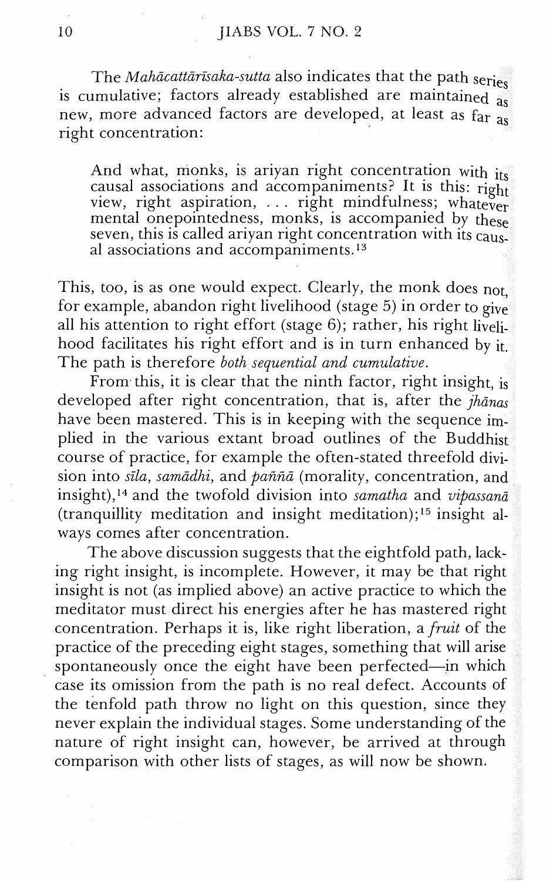The *Mahācattārīsaka-sutta* also indicates that the path series is cumulative; factors already established are maintained  $\frac{1}{a_s}$ new, more advanced factors are developed, at least as far as right concentration:

And what, monks, is ariyan right concentration with its causal associations and accompaniments? It is this:  $\overrightarrow{\mathrm{right}}$ view, right aspiration,  $\ldots$  right mindfulness; whatever mental onepointedness, monks, is accompanied by these seven, this is called ariyan right concentration with its  $caus^2$ al associations and accompaniments. $13$ 

This, too, is as one would expect. Clearly, the monk does not. for example, abandon right livelihood (stage 5) in order to give<br>all his attention to right effort (stage 6); rather, his right livelihood facilitates his right effort and is in turn enhanced by it. The path is therefore *both sequential and cumulative.* 

From this, it is clear that the ninth factor, right insight, is developed after right concentration, that is, after the *jhanas* have been mastered. This is in keeping with the sequence implied in the various extant broad outlines of the Buddhist course of practice, for example the often-stated threefold division into *sila, samddhi,* and *pafifia* (morality, concentration, and insight),<sup>14</sup> and the twofold division into *samatha* and *vipassana* (tranquillity meditation and insight meditation);<sup>15</sup> insight always comes after concentration.

The above discussion suggests that the eightfold path, lacking right insight, is incomplete. However, it may be that right insight is not (as implied above) an active practice to which the meditator must direct his energies after he has mastered right concentration. Perhaps it is, like right liberation, a *fruit* of the practice of the preceding eight stages, something that will arise spontaneously once the eight have been perfected-in which case its omission from the path is no real defect. Accounts of the tenfold path throw no light on this question, since they never explain the individual stages. Some understanding of the nature of right insight can, however, be arrived at through comparison with other lists of stages, as will now be shown.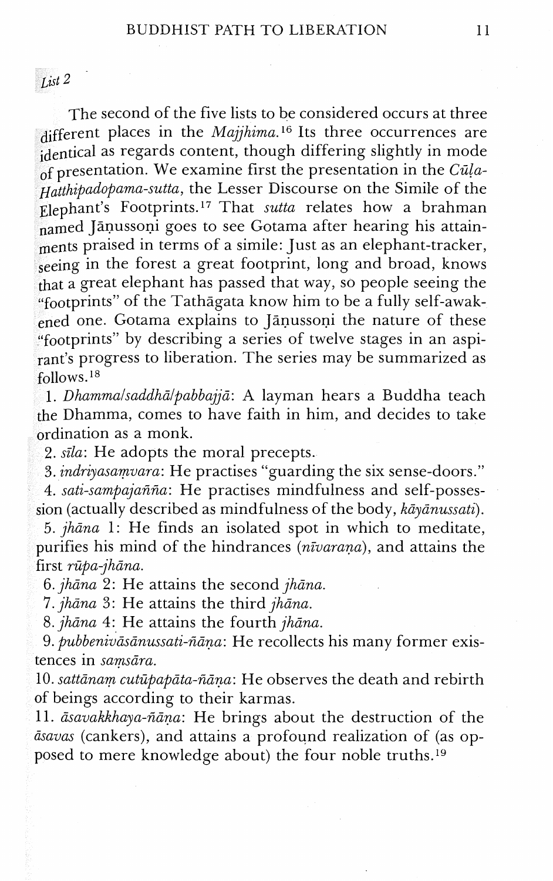List *2* 

The second of the five lists to be considered occurs at three different places in the Majjhima.<sup>16</sup> Its three occurrences are identical as regards content, though differing slightly in mode of presentation. We examine first the presentation in the Cula-Hatthipadopama-sutta, the Lesser Discourse on the Simile of the Elephant's Footprints.<sup>17</sup> That sutta relates how a brahman named Jāņussoņi goes to see Gotama after hearing his attainments praised in terms of a simile: Just as an elephant-tracker, seeing in the forest a great footprint, long and broad, knows that a great elephant has passed that way, so people seeing the "footprints" of the Tathagata know him to be a fully self-awakened one. Gotama explains to Janussoni the nature of these "footprints" by describing a series of twelve stages in an aspirant's progress to liberation. The series may be summarized as follows.

1. *Dhammalsaddhā/pabbajjā*: A layman hears a Buddha teach the Dhamrna, comes to have faith in him, and decides to take ordination as a monk.

2. *sila*: He adopts the moral precepts.

3. indriyasamvara: He practises "guarding the six sense-doors."

4. sati-sampajañña: He practises mindfulness and self-possession (actually described as mindfulness of the body,  $k\bar{a}y\bar{a}nussati$ ).

5. jhāna 1: He finds an isolated spot in which to meditate, purifies his mind of the hindrances (nivarana), and attains the first rūpa-jhāna.

6.  $jhāna$  2: He attains the second  $jhāna$ .

7. jhāna 3: He attains the third jhāna.

8.  $jhāna$  4: He attains the fourth  $jhāna$ .

9. *pubbenivāsānussati-ñāna*: He recollects his many former existences in samsāra.

10. sattānam cutūpapāta-ñāņa: He observes the death and rebirth of beings according to their karmas.

11. āsavakkhaya-ñāņa: He brings about the destruction of the dsavas (cankers), and attains a profound realization of (as opposed to mere knowledge about) the four noble truths.<sup>19</sup>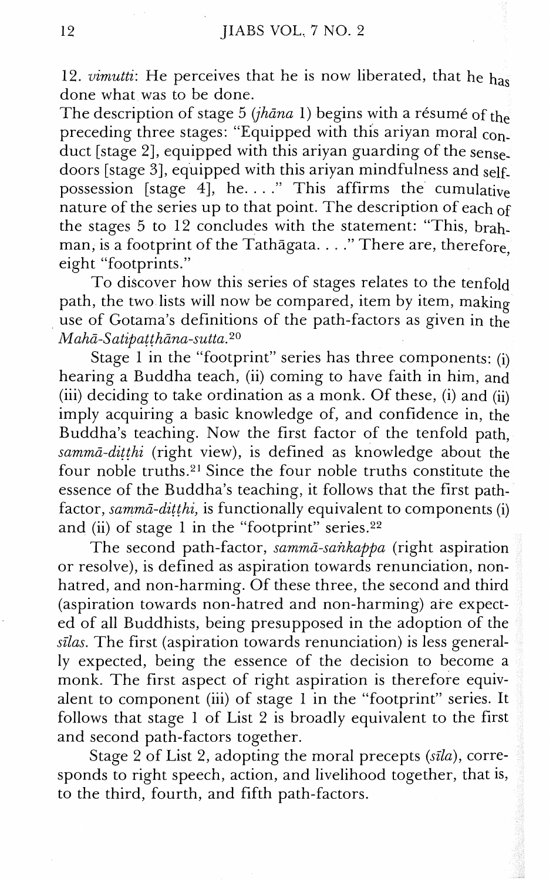12. vimutti: He perceives that he is now liberated, that he  $h_{\text{as}}$ done what was to be done.

The description of stage 5 (jhana 1) begins with a résumé of the preceding three stages: "Equipped with this ariyan moral conduct [stage 2], equipped with this ariyan guarding of the sensedoors [stage 31, equipped with this ariyan mindfulness and selfpossession [stage 4], he. . . . This affirms the cumulative nature of the series up to that point. The description of each of the stages 5 to 12 concludes with the statement: "This, brahman, is a footprint of the Tathagata. . . ." There are, therefore, eight "footprints."

To discover how this series of stages relates to the tenfold path, the two lists will now be compared, item by item, making use of Gotama's definitions of the path-factors as given in the  $Mahā-Satipatțhāna-sutta.<sup>20</sup>$ 

Stage 1 in the "footprint" series has three components: (i) hearing a Buddha teach, (ii) coming to have faith in him, and (iii) deciding to take ordination as a monk. Of these, (i) and (ii) imply acquiring a basic knowledge of, and confidence in, the Buddha's teaching. Now the first factor of the tenfold path,  $sammā-dithi$  (right view), is defined as knowledge about the four noble truths.<sup>21</sup> Since the four noble truths constitute the essence of the Buddha's teaching, it follows that the first pathfactor, sammā-dițthi, is functionally equivalent to components (i) and (ii) of stage 1 in the "footprint" series.<sup>22</sup>

The second path-factor, sammā-sankappa (right aspiration or resolve), is defined as aspiration towards renunciation, nonhatred, and non-harming. Of these three, the second and third (aspiration towards non-hatred and non-harming) are expected of all Buddhists, being presupposed in the adoption of the  $silas$ . The first (aspiration towards renunciation) is less generally expected, being the essence of the decision to become a monk. The first aspect of right aspiration is therefore equivalent to component (iii) of stage 1 in the "footprint" series. It follows that stage 1 of List 2 is broadly equivalent to the first and second path-factors together.

Stage 2 of List 2, adopting the moral precepts (sīla), corresponds to right speech, action, and livelihood together, that is, to the third, fourth, and fifth path-factors.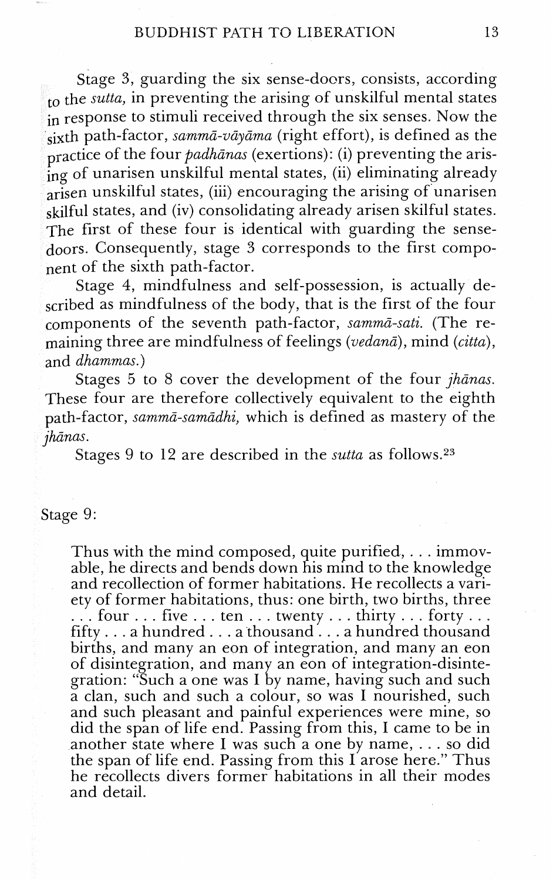Stage 3, guarding the six sense-doors, consists, according  $t_0$  the sutta, in preventing the arising of unskilful mental states in response to stimuli received through the six senses. Now the  $s_{\text{isxt}}$ h path-factor, sammā-vāyāma (right effort), is defined as the practice of the four *padhānas* (exertions): (i) preventing the arising of unarisen unskilful mental states, (ii) eliminating already arisen unskilful states, (iii) encouraging the arising of unarisen skilful states, and (iv) consolidating already arisen skilful states. The first of these four is identical with guarding the sensedoors. Consequently, stage 3 corresponds to the first component of the sixth path-factor.

Stage 4, mindfulness and self-possession, is actually described as mindfulness of the body, that is the first of the four components of the seventh path-factor, sammā-sati. (The remaining three are mindfulness of feelings (vedana), mind (citta), and dhammas.)

Stages 5 to 8 cover the development of the four *jhānas*. These four are therefore collectively equivalent to the eighth path-factor, sammā-samādhi, which is defined as mastery of the jhanas.

Stages 9 to 12 are described in the *sutta* as follows.<sup>23</sup>

### Stage 9:

Thus with the mind composed, quite purified, . . . immovable, he directs and bends down his mind to the knowledge and recollection of former habitations. He recollects a vari- $\therefore$  four  $\ldots$  five  $\ldots$  ten  $\ldots$  twenty  $\ldots$  thirty  $\ldots$  forty  $\ldots$  fifty . . . a hundred  $\ldots$  a hundred thousand births, and many an eon of integration, and many an eon of disintegration, and many an eon of integration-disintegration: "Such a one was I by name, having such and such a clan, such and such a colour, so was I nourished, such and such pleasant and painful experiences were mine, so did the span of life end. Passing from this, I came to be in another state where I was such a one by name,  $\dots$  so did the span of life end. Passing from this  $I$  arose here." Thus he recollects divers former habitations in all their modes and detail.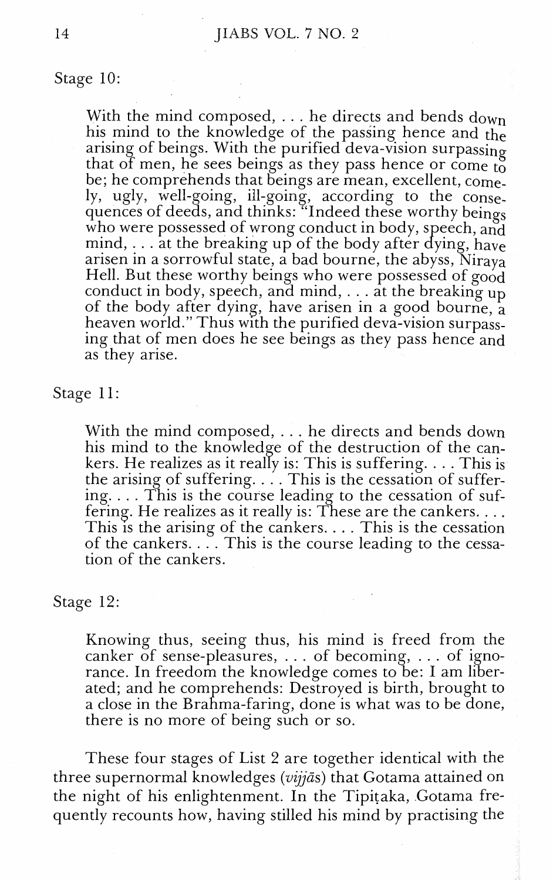Stage 10:

With the mind composed, ... he directs and bends down his mind to the knowledge of the passing hence and the arising of beings. With the purified deva-vision surpassing that of men, he sees beings as they pass hence or come to be; he comprehends that beings are mean, excellent, comely, ugly, well-going, ill-going, according to the consequences of deeds, and thinks: "Indeed these worthy beings who were possessed of wrong conduct in body, speech, and mind, ... at the breaking up of the body after dying, have arisen in a sorrowful state, a bad bourne, the abyss, Niraya Hell. But these worthy beings who were possessed of good conduct in body, speech, and mind,  $\ldots$  at the breaking up of the body after dying, have arisen in a good bourne, a heaven world." Thus with the purified deva-vision surpassing that of men does he see beings as they pass hence and as they arise.

Stage 11

With the mind composed, . . . he directs and bends down his mind to the knowledge of the destruction of the cankers. He realizes as it really is: This is suffering.  $\dots$  This is the arising of suffering.  $\ldots$ . This is the cessation of suffering. . . . This is the course leading to the cessation of suf-<br>fering. He realizes as it really is: These are the cankers. . . . This is the arising of the cankers. . . . This is the cessation of the cankers. . . . This is the course leading to the cessation of the cankers.

Stage 12:

Knowing thus, seeing thus, his mind is freed from the canker of sense-pleasures, . . . of becoming, . . . of ignorance. In freedom the knowledge comes to be: I am liberated; and he comprehends: Destroyed is birth, brought to a close in the Brahma-faring, done is what was to be done, there is no more of being such or so.

These four stages of List 2 are together identical with the three supernormal knowledges ( $vijj\bar{a}$ s) that Gotama attained on the night of his enlightenment. In the Tipitaka, Gotama frequently recounts how, having stilled his mind by practising the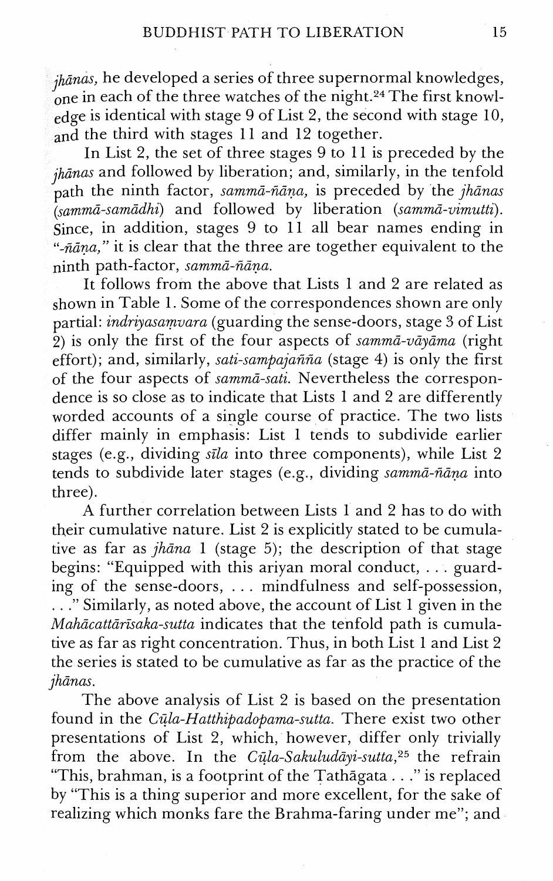jhānas, he developed a series of three supernormal knowledges, one in each of the three watches of the night.<sup>24</sup> The first knowledge is identical with stage 9 of List 2, the second with stage 10, and the third with stages 11 and 12 together.

In List 2, the set of three stages 9 to 11 is preceded by the  $j_{h\bar{a}nas}$  and followed by liberation; and, similarly, in the tenfold path the ninth factor, sammā-ñāṇa, is preceded by the jhānas r<br>(sammā-samādhi) and followed by liberation (sammā-vimutti). Since, in addition, stages 9 to 11 all bear names ending in "- $n\bar{a}$  na," it is clear that the three are together equivalent to the ninth path-factor, sammā-ñāna.

It follows from the above that Lists 1 and 2 are related as shown in Table 1. Some of the correspondences shown are only partial: indriyasamvara (guarding the sense-doors, stage **3** of List 2) is only the first of the four aspects of samma-vayama (right effort); and, similarly, sati-sampajañña (stage 4) is only the first of the four aspects of sammā-sati. Nevertheless the correspondence is so close as to indicate that Lists 1 and 2 are differently worded accounts of a single course of practice. The two lists differ mainly in emphasis: List 1 tends to subdivide earlier stages (e.g., dividing  $s\bar{t}la$  into three components), while List 2 tends to subdivide later stages (e.g., dividing sammā-ñāna into three).

A further correlation between Lists 1 and 2 has to do with their cumulative nature. List 2 is explicitly stated to be cumulative as far as  $jh\bar{a}na$  1 (stage 5); the description of that stage begins: "Equipped with this ariyan moral conduct, . . . guarding of the sense-doors, . . . mindfulness and self-possession, . . ." Similarly, as noted above, the account of List 1 given in the  $Mahācattārīsaka-sutta$  indicates that the tenfold path is cumulative as far as right concentration. Thus, in both List 1 and List 2 the series is stated to be cumulative as far as the practice of the jhanas.

The above analysis of List 2 is based on the presentation found in the *Cula-Hatthipadopama-sutta.* There exist two other presentations of List 2, which, however, differ only trivially from the above. In the Cūla-Sakuludāyi-sutta,<sup>25</sup> the refrain "This, brahman, is a footprint of the Tathggata . . ." is replaced by "This is a thing superior and more excellent, for the sake of realizing which monks fare the Brahma-faring under me"; and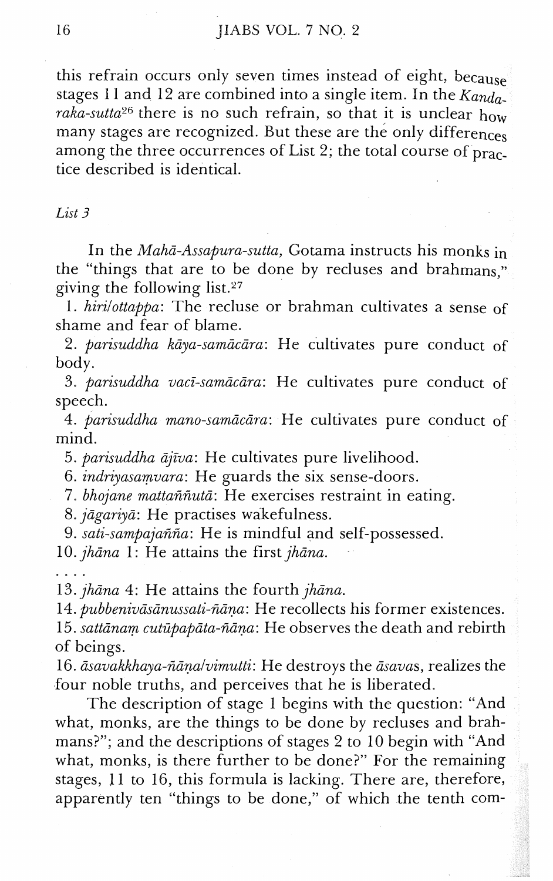this refrain occurs only seven times instead of eight, because stages 11 and 12 are combined into a single item. In the  $Kanda$ raka-sutta<sup>26</sup> there is no such refrain, so that it is unclear how many stages are recognized. But these are the only differences among the three occurrences of List 2; the total course of practice described is identical.

#### *List* 3

In the Mahā-Assapura-sutta, Gotama instructs his monks in the "things that are to be done by recluses and brahmans," giving the following list.27

1. hirilottappa: The recluse or brahman cultivates a sense of shame and fear of blame.

2. parisuddha kāya-samācāra: He cultivates pure conduct of body.

3. parisuddha vacī-samācāra: He cultivates pure conduct of speech.

4. parisuddha mano-samācāra: He cultivates pure conduct of mind.

5. parisuddha ājīva: He cultivates pure livelihood.

6. indriyasamvara: He guards the six sense-doors.

7. bhojane mattaññutā: He exercises restraint in eating.

8. jāgariyā: He practises wakefulness.

9. sati-sampajañña: He is mindful and self-possessed.

10. jhāna 1: He attains the first jhāna.

....

13.  $jhāna$  4: He attains the fourth  $jhāna$ .

14. *pubbenivāsānussati-ñāṇa*: He recollects his former existences. 15. sattānam cutūpapāta-ñāņa: He observes the death and rebirth of beings.

16. *dsavakkhaya-fidnalvimutti:* He destroys the dsauas, realizes the four noble truths, and perceives that he is liberated.

The description of stage 1 begins with the question: "And what, monks, are the things to be done by recluses and brahmans?"; and the descriptions of stages 2 to 10 begin with "And what, monks, is there further to be done?" For the remaining stages, 11 to 16, this formula is lacking. There are, therefore, apparently ten "things to be done," of which the tenth com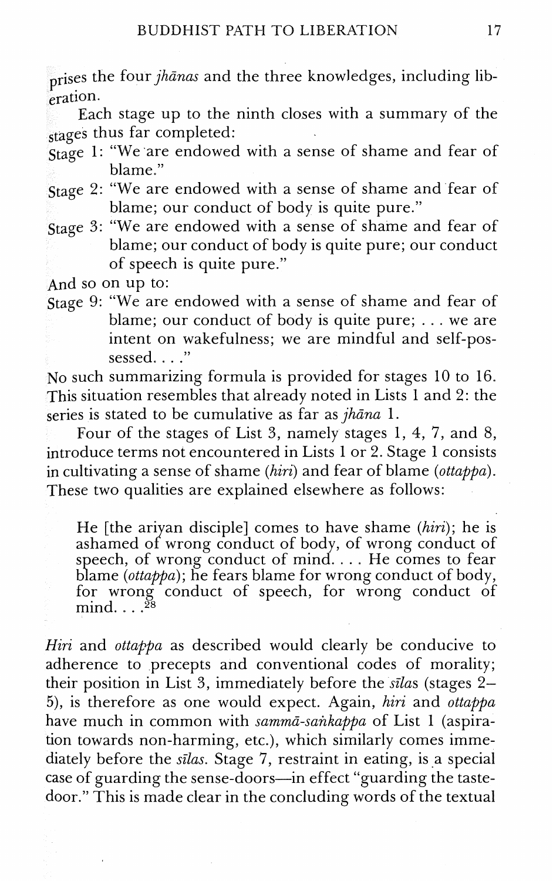prises the four jhanas and the three knowledges, including liberation.

Each stage up to the ninth closes with a summary of the stages thus far completed:

- Stage 1: "We are endowed with a sense of shame and fear of blame."
- Stage 2: "We are endowed with a sense of shame and fear of blame; our conduct of body is quite pure."
- Stage 3: "We are endowed with a sense of shame and fear of blame; our conduct of body is quite pure; our conduct of speech is quite pure."

And so on up to:

Stage 9: "'We are endowed with a sense of shame and fear of blame; our conduct of body is quite pure; . . . we are intent on wakefulness; we are mindful and self-possessed. . . ."

No such summarizing formula is provided for stages 10 to 16. This situation resembles that already noted in Lists 1 and 2: the series is stated to be cumulative as far as  $jh$ *āna* 1.

Four of the stages of List 3, namely stages 1, 4, 7, and 8, introduce terms not encountered in Lists 1 or 2. Stage 1 consists in cultivating a sense of shame (hiri) and fear of blame (ottappa). These two qualities are explained elsewhere as follows:

He [the ariyan disciple] comes to have shame  $(hiri)$ ; he is ashamed of wrong conduct of body, of wrong conduct of speech, of wrong conduct of mind. . . . He comes to fear blame (ottappa); he fears blame for wrong conduct of body, for wrong conduct of speech, for wrong conduct of mind....<sup>28</sup>

Hiri and ottappa as described would clearly be conducive to adherence to precepts and conventional codes of morality; their position in List 3, immediately before the silas (stages  $2-$ 5), is therefore as one would expect. Again, hiri and ottappa have much in common with sammā-sankappa of List 1 (aspiration towards non-harming, etc.), which similarly comes immediately before the silas. Stage 7, restraint in eating, is a special case of guarding the sense-doors-in effect "guarding the tastedoor." This is made clear in the concluding words of the textual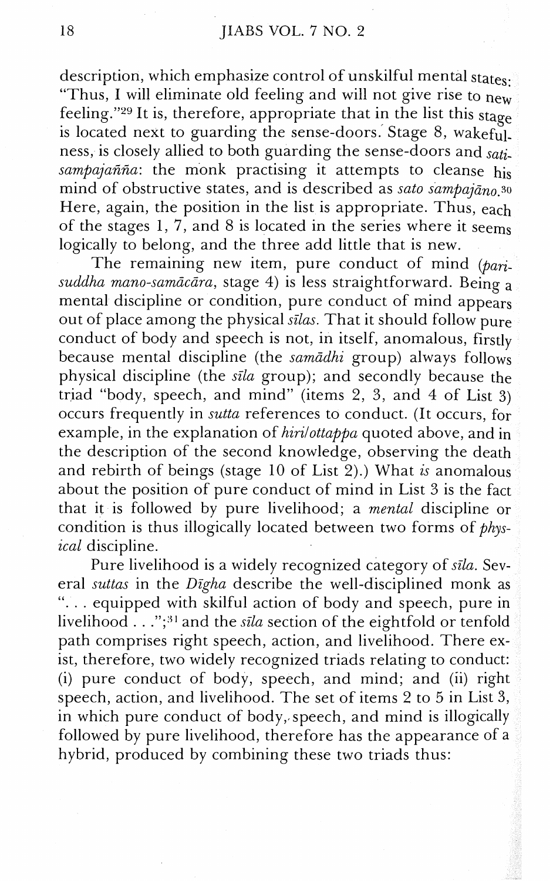description, which emphasize control of unskilful mental states: "Thus, I will eliminate old feeling and will not give rise to  $n_{\text{ew}}$ feeling."<sup>29</sup> It is, therefore, appropriate that in the list this stage is located next to guarding the sense-doors. Stage 8, wakeful. ness, is closely allied to both guarding the sense-doors and *soti*sampajañña: the monk practising it attempts to cleanse his mind of obstructive states, and is described as *sato sampajano.so*  Here, again, the position in the list is appropriate. Thus, each of the stages 1, 7, and 8 is located in the series where it seems logically to belong, and the three add little that is new.

The remaining new item, pure conduct of mind  $(ban)$ suddha mano-samācāra, stage 4) is less straightforward. Being a mental discipline or condition, pure conduct of mind appears out of place among the physical *sillas.* That it should follow pure conduct of body and speech is not, in itself, anomalous, firstly because mental discipline (the *sumadhi* group) always follows physical discipline (the *sfla* group); and secondly because the triad "body, speech, and mind" (items 2, 3, and 4 of List 3) occurs frequently in *sutta* references to conduct. (It occurs, for example, in the explanation of *hirilottappa* quoted above, and in the description of the second knowledge, observing the death and rebirth of beings (stage 10 of List 2).) What *is* anomalous about the position of pure conduct of mind in List 3 is the fact that it is followed by pure livelihood; a *mental* discipline or condition is thus illogically located between two forms of *physical* discipline.

Pure livelihood is a widely recognized category of *sfla.* Several *suttas* in the *Digha* describe the well-disciplined monk as ". . . equipped with skilful action of body and speech, pure in livelihood . . . ";<sup>31</sup> and the *sila* section of the eightfold or tenfold path comprises right speech, action, and livelihood. There exist, therefore, two widely recognized triads relating to conduct: (i) pure conduct of body, speech, and mind; and (ii) right speech, action, and livelihood. The set of items 2 to 5 in List 3, in which pure conduct of body, speech, and mind is illogically followed by pure livelihood, therefore has the appearance of a hybrid, produced by combining these two triads thus: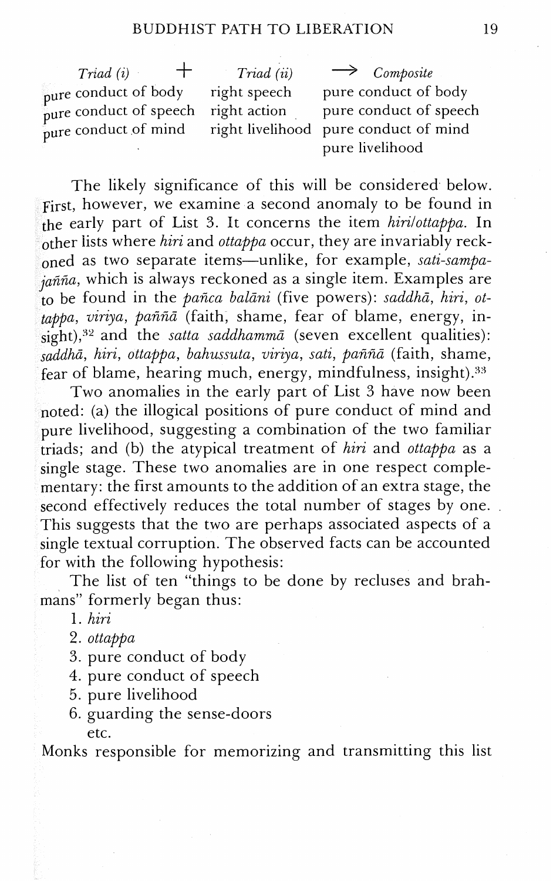$\frac{1}{p}$  pure conduct of speech right action pure conduct of speech right in pure conduct of mind pure conduct of mind right livelihood

 $Triad (i)$   $+$   $Triad (ii)$   $Composite$ <br>conduct of body right speech pure conduct of body pure conduct of body right speech pure conduct of body<br>pure conduct of speech right action pure conduct of speech pure livelihood

The likely significance of this will be considered below. First, however, we examine a second anomaly to be found in e early part of List 3. It concerns the item *hirilottappa.* In ther lists where *hiri* and *ottappa* occur, they are invariably reckned as two separate items-unlike, for example, *sati-sarnpaiañña*, which is always reckoned as a single item. Examples are be found in the *pafica balani* (five powers): *saddha, hiri, ot*tappa, viriya, paññā (faith, shame, fear of blame, energy, in- $\frac{1}{\text{right}}$ ,<sup>32</sup> and the *satta saddhamma* (seven excellent qualities): *ha, hiri, ottappa, bahussuta, uiriya, sati, pafifia* (faith, shame, fear of blame, hearing much, energy, mindfulness, insight). $33$ 

Two anomalies in the early part of List 3 have now been noted: (a) the illogical positions of pure conduct of mind and pure livelihood, suggesting a combination of the two familiar iads; and (b) the atypical treatment of *hiri* and *ottappa* as a *gle* stage. These two anomalies are in one respect complementary: the first amounts to the addition of an extra stage, the second effectively reduces the total number of stages by one. This suggests that the two are perhaps associated aspects of a single textual corruption. The observed facts can be accounted for with the following hypothesis:

The list of ten "things to be done by recluses and brahmans" formerly began thus:

- 1. *hiri*
- 2. *ottappa*
- 3. pure conduct of body
- 4. pure conduct of speech
- 5. pure livelihood
- 6. guarding the sense-doors

etc.

Monks responsible for memorizing and transmitting this list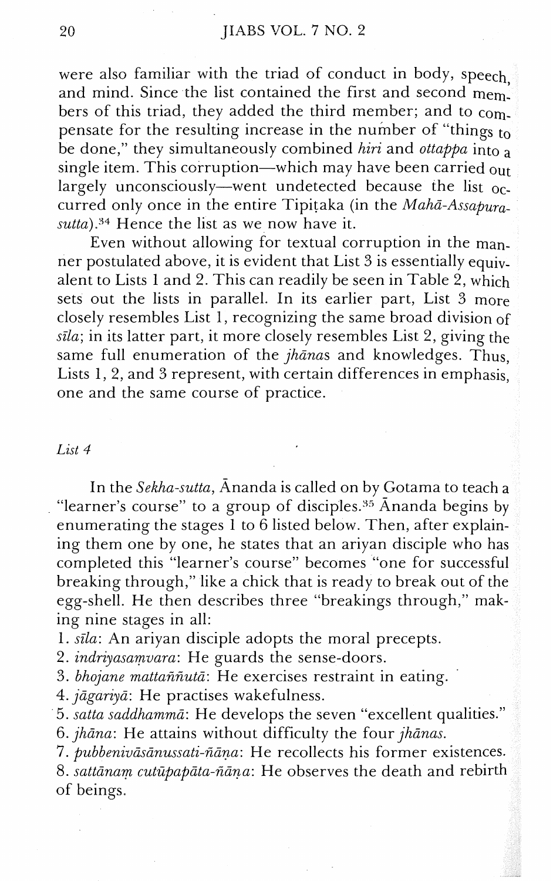were also familiar with the triad of conduct in body, speech and mind. Since the list contained the first and second mem. bers of this triad, they added the third member; and to  $\text{com}$ . pensate for the resulting increase in the number of "things to" be done," they simultaneously combined hiri and ottappa into a single item. This corruption—which may have been carried out largely unconsciously—went undetected because the list  $_{0c}$ . curred only once in the entire Tipitaka (in the  $Mah\bar{a}-Assabura$  $sutta$ ).<sup>34</sup> Hence the list as we now have it.

Even without allowing for textual corruption in the manner postulated above, it is evident that List 3 is essentially equivalent to Lists 1 and 2. This can readily be seen in Table 2, which sets out the lists in parallel. In its earlier part, List 3 more closely resembles List 1, recognizing the same broad division of  $sila$ ; in its latter part, it more closely resembles List 2, giving the same full enumeration of the  $jhānas$  and knowledges. Thus, Lists 1, 2, and 3 represent, with certain differences in emphasis, one and the same course of practice.

#### *List 4*

In the Sekha-sutta, Ananda is called on by Gotama to teach a "learner's course" to a group of disciples. $35$  Ananda begins by enumerating the stages 1 to 6 listed below. Then, after explaining them one by one, he states that an ariyan disciple who has completed this "learner's course" becomes "one for successful breaking through," like a chick that is ready to break out of the egg-shell. He then describes three "breakings through," making nine stages in all:

1. sīla: An ariyan disciple adopts the moral precepts.

2. indriyasamvara: He guards the sense-doors.

3. bhojane mattaññutā: He exercises restraint in eating.

4. jagariya: He practises wakefulness.

5. satta saddhamma: Me develops the seven "excellent qualities."

6.  $jhāna$ : He attains without difficulty the four  $jhānas$ .

*7. pubbenivasanussati-5ana:* He recollects his former existences.

8. sattānam cutūpapāta-ñāņa: He observes the death and rebirth of beings.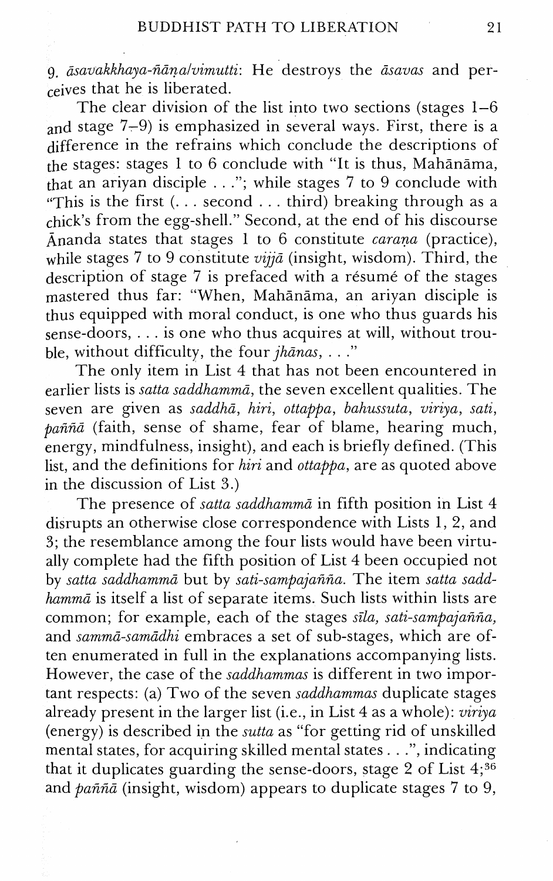9. *dsavakkhaya-fidnaivimutti:* He destroys the *iisauas* and perceives that he is liberated.

The clear division of the list into two sections (stages 1-6 and stage  $7-9$ ) is emphasized in several ways. First, there is a difference in the refrains which conclude the descriptions of the stages: stages 1 to 6 conclude with "It is thus, Mahanama, that an ariyan disciple . . ."; while stages 7 to 9 conclude with "This is the first  $(\dots$  second  $\dots$  third) breaking through as a  $f_{\text{click}}$ 's from the egg-shell." Second, at the end of his discourse Ananda states that stages 1 to 6 constitute *carana* (practice), while stages *7* to 9 constitute *vijja* (insight, wisdom). Third, the description of stage 7 is prefaced with a résumé of the stages mastered thus far: "When, Mahānāma, an ariyan disciple is thus equipped with moral conduct, is one who thus guards his sense-doors, . . . is one who thus acquires at will, without trouble, without difficulty, the four *jhanas*, . . ."

The only item in List 4 that has not been encountered in earlier lists is *satta saddhammā*, the seven excellent qualities. The seven are given as *saddha, hiri, ottappa, bahussuta, viriya, sati, pafifici* (faith, sense of shame, fear of blame, hearing much, energy, mindfulness, insight), and each is briefly defined. (This list, and the definitions for *hiri* and *ottappa,* are as quoted above in the discussion of List 3.)

The presence of *satta saddhamma* in fifth position in List 4 disrupts an otherwise close correspondence with Lists 1, 2, and 3; the resemblance among the four lists would have been virtually complete had the fifth position of List 4 been occupied not by *satta saddhammii* but by *sati-sampajafifia.* The item *satta saddhammd* is itself a list of separate items. Such lists within lists are common; for example, each of the stages *sila, sati-sampajafifia,*  and sammā-samādhi embraces a set of sub-stages, which are often enumerated in full in the explanations accompanying lists. However, the case of the *saddhammas* is different in two important respects: (a) Two of the seven *saddhammas* duplicate stages already present in the larger list (i.e., in List 4 as a whole): *uiriya*  (energy) is described in the *sutta* as "for getting rid of unskilled mental states, for acquiring skilled mental states . . .", indicating that it duplicates guarding the sense-doors, stage 2 of List  $4;^{36}$ and *pafifid* (insight, wisdom) appears to duplicate stages 7 to 9,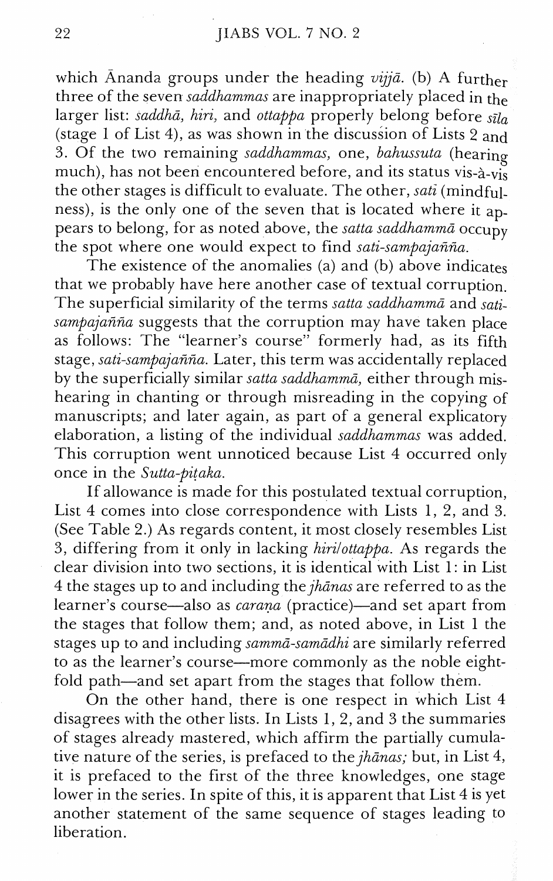which Ananda groups under the heading *uijja.* (b) A further three of the seven *saddhammas* are inappropriately placed in the larger list: *saddha, hiri,* and *ottappa* properly belong before *sda*  (stage 1 of List 4), as was shown in the discussion of Lists 2 and 3. Of the two remaining *saddhammas,* one, *bahussuta* (hearing much), has not been encountered before, and its status vis-à-vis the other stages is difficult to evaluate. The other, *sati* (mindfulness), is the only one of the seven that is located where it appears to belong, for as noted above, the *sattu saddhamma* occupy the spot where one would expect to find *sati-sampajafifia.* 

The existence of the anomalies (a) and (b) above indicates that we probably have here another case of textual corruption. The superficial similarity of the terms *satta saddhamma* and *satisampajarifia* suggests that the corruption may have taken place as follows: The "learner's course" formerly had, as its fifth stage, *sati-sampajafifia.* Later, this term was accidentally replaced by the superficially similar *satta saddhamma,* either through mishearing in chanting or through misreading in the copying of manuscripts; and later again, as part of a general explicatory elaboration, a listing of the individual *saddhammas* was added. This corruption went unnoticed because List 4 occurred only once in the *Sutta-pitaka.* 

If allowance is made for this postulated textual corruption, List 4 comes into close correspondence with Lists 1, 2, and 3. (See Table 2.) As regards content, it most closely resembles List 3, differing from it only in lacking *hirilottappa.* As regards the clear division into two sections, it is identical with List 1: in List 4 the stages up to and including the *jhanas* are referred to as the learner's course—also as *carana* (practice)—and set apart from the stages that follow them; and, as noted above, in List 1 the stages up to and including *summa-samadhi* are similarly referred to as the learner's course—more commonly as the noble eightfold path-and set apart from the stages that follow them.

On the other hand, there is one respect in which List 4 disagrees with the other lists. In Lists 1, 2, and 3 the summaries of stages already mastered, which affirm the partially cumulative nature of the series, is prefaced to the *jhanas;* but, in List 4, it is prefaced to the first of the three knowledges, one stage lower in the series. In spite of this, it is apparent that List 4 is yet another statement of the same sequence of stages leading to liberation.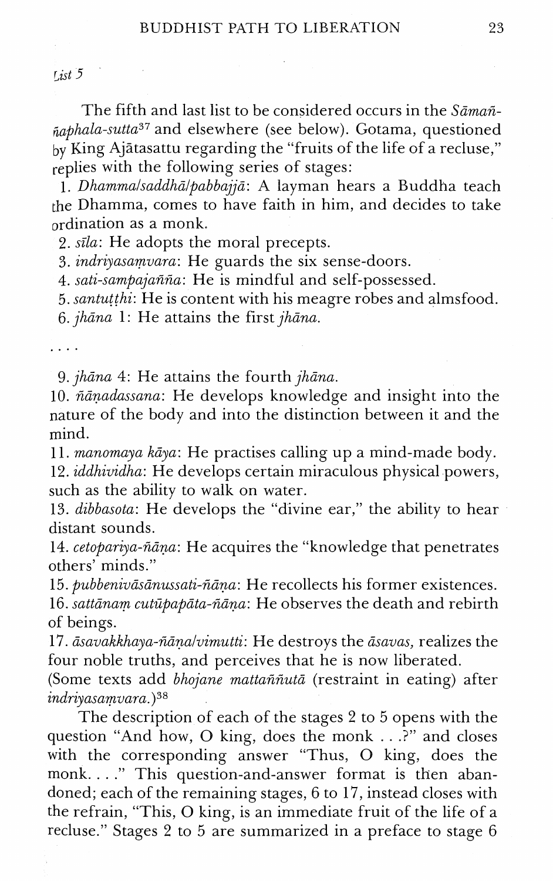$1.1$   $5$ 

The fifth and last list to be considered occurs in the *Sama6-*   $\tilde{p}$ <sub>n</sub>aphala-sutta<sup>37</sup> and elsewhere (see below). Gotama, questioned by King Ajatasattu regarding the "fruits of the life of a recluse," replies with the following series of stages:

*1. Dhammalsaddhalpabbajja:* A layman hears a Buddha teach the Dhamma, comes to have faith in him, and decides to take ordination as a monk.

2. *sila:* He adopts the moral precepts.

3, *indriyasamuara:* He guards the six sense-doors.

4. *sati-sampaja66a:* He is mindful and self-possessed.

*5. santutthi:* He is content with his meagre robes and almsfood. 6. *jhana 1:* He attains the first *jhana.* 

*9. jhana 4:* He attains the fourth *jhana.* 

10. ñāņadassana: He develops knowledge and insight into the nature of the body and into the distinction between it and the mind.

*11. manomaya kaya:* He practises calling up a mind-made body.

*12. iddhiuidha:* Me develops certain miraculous physical powers, such as the ability to walk on water.

13. *dibbasota:* He develops the "divine ear," the ability to hear distant sounds.

14. *cetopariya-fiana:* He acquires the "knowledge that penetrates others' minds."

15. *pubbenivasanussati-fiana:* He recollects his former existences.

16. *sattanam cutzipapata-fiana:* He observes the death and rebirth of beings.

17.  $\bar{a}$ savakkhaya-ñāna/vimutti: He destroys the  $\bar{a}$ savas, realizes the four noble truths, and perceives that he is now liberated.

(Some texts add *bhojane mattaññutā* (restraint in eating) after  $indriyasamvara.$ <sup>38</sup>

The description of each of the stages *2* to 5 opens with the question "And how, *0* king, does the monk . . .?" and closes with the corresponding answer "Thus, 0 king, does the monk. . . ." This question-and-answer format is then abandoned; each of the remaining stages, 6 to *17,* instead closes with the refrain, "This, 0 king, is an immediate fruit of the life of a recluse." Stages 2 to 5 are summarized in a preface to stage 6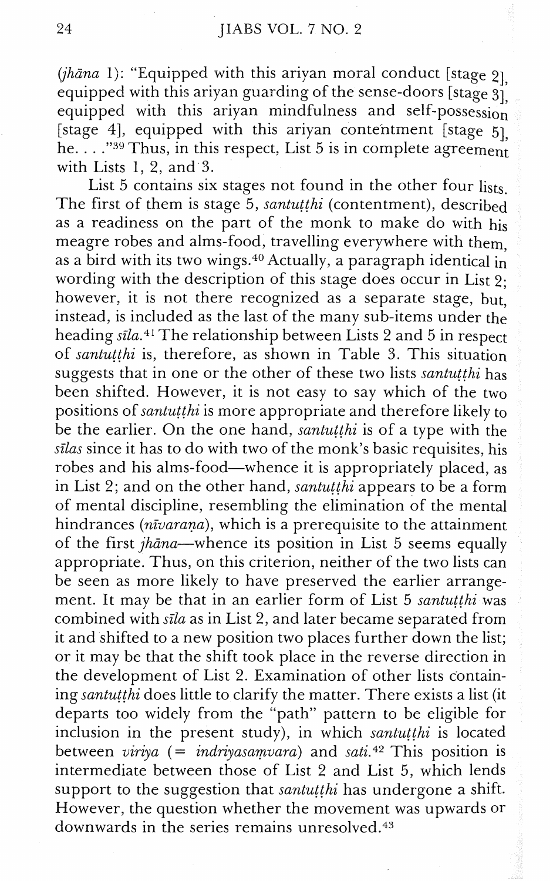(jhāna 1): "Equipped with this ariyan moral conduct [stage  $2$ ] equipped with this ariyan guarding of the sense-doors [stage  $31^{'}$ ] equipped with this ariyan mindfulness and self-possession [stage 4], equipped with this ariyan contentment [stage  $5$ ] he. . . **."S"** Thus, in this respect, List 5 is in complete agreemen; with Lists 1, 2, and **3.** 

List 5 contains six stages not found in the other four lists. The first of them is stage 5, santutthi (contentment), described as a readiness on the part of the monk to make do with his meagre robes and alms-food, travelling everywhere with them, as a bird with its two wings.<sup>40</sup> Actually, a paragraph identical in wording with the description of this stage does occur in List ? however, it is not there recognized as a separate stage, but, instead, is included as the last of the many sub-items under the heading  $s\bar{i}la^{41}$  The relationship between Lists 2 and 5 in respect of santutthi is, therefore, as shown in Table **3.** This situation suggests that in one or the other of these two lists *santutthi* has been shifted. However, it is not easy to say which of the two positions of *santuithi* is more appropriate and therefore likely to be the earlier. On the one hand, *santut thi* is of a type with the silas since it has to do with two of the monk's basic requisites, his robes and his alms-food—whence it is appropriately placed, as in List 2; and on the other hand, santutthi appears to be a form of mental discipline, resembling the elimination of the mental hindrances ( $n\bar{v}$ arana), which is a prerequisite to the attainment of the first  $jhāna$ —whence its position in List 5 seems equally appropriate. Thus, on this criterion, neither of the two lists can be seen as more likely to have preserved the earlier arrangement. It may be that in an earlier form of List 5 santutthi was combined with sila as in List 2, and later became separated from it and shifted to a new position two places further down the list; or it may be that the shift took place in the reverse direction in the development of List 2. Examination of other lists containing santutthi does little to clarify the matter. There exists a list (it departs too widely from the "path" pattern to be eligible for inclusion in the present study), in which santutthi is located between viriya (= indriyasamvara) and sati.<sup>42</sup> This position is intermediate between those of List 2 and List 5, which lends support to the suggestion that santutthi has undergone a shift. However, the question whether the movement was upwards or downwards in the series remains unresolved. $43$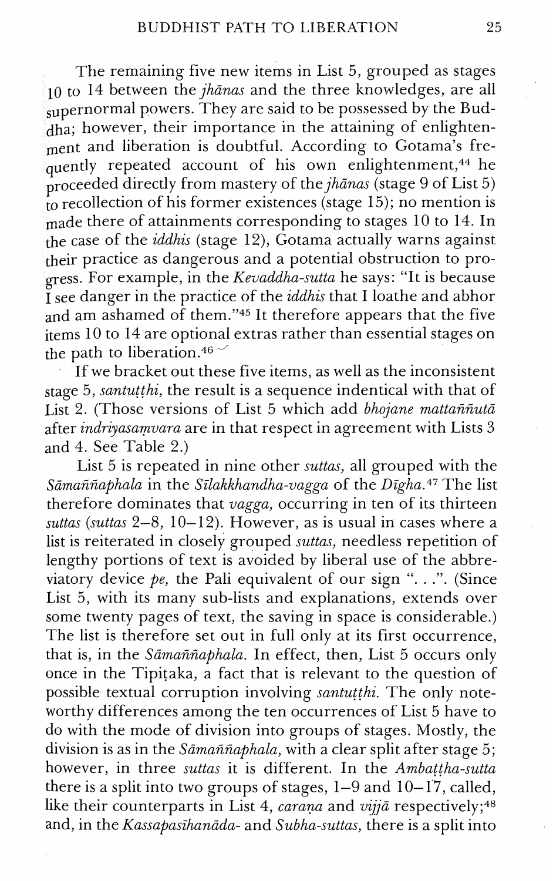The remaining five new items in List 5, grouped as stages 10 to 14 between the *jhanas* and the three knowledges, are all supernormal powers. They are said to be possessed by the Buddha; however, their importance in the attaining of enlightenment and liberation is doubtful. According to Gotama's frequently repeated account of his own enlightenment,<sup>44</sup> he proceeded directly from mastery of the  $jhānas$  (stage 9 of List 5)  $_{\text{to}}^{\text{P}}$  recollection of his former existences (stage 15); no mention is made there of attainments corresponding to stages 10 to 14. In the case of the *iddhis* (stage 12), Gotama actually warns against their practice as dangerous and a potential obstruction to progress. For example, in the *Kevaddha-sutta* he says: "It is because  $I_{\text{see}}$  danger in the practice of the *iddhis* that I loathe and abhor and am ashamed of them."45 It therefore appears that the five items 10 to 14 are optional extras rather than essential stages on the path to liberation.<sup>46</sup>  $\sim$ 

If we bracket out these five items, as well as the inconsistent stage 5, santuithi, the result is a sequence indentical with that of List 2. (Those versions of List 5 which add bhojane mattañnuta after *indriyasamvara* are in that respect in agreement with Lists 3 and 4. See Table 2.)

Eist *5* is repeated in nine other suttas, all grouped with the Sāmaññaphala in the Sīlakkhandha-vagga of the Dīgha.<sup>47</sup> The list therefore dominates that vagga, occurring in ten of its thirteen suttas (suttas  $2-8$ , 10-12). However, as is usual in cases where a list is reiterated in closely grouped suttas, needless repetition of lengthy portions of text is avoided by liberal use of the abbreviatory device *pe,* the Pali equivalent of our sign ". . .". (Since List *5,* with its many sub-lists and explanations, extends over some twenty pages of text, the saving in space is considerable.) The list is therefore set out in full only at its first occurrence, that is, in the Sāmaññaphala. In effect, then, List 5 occurs only once in the Tipitaka, a fact that is relevant to the question of possible textual corruption involving santutthi. The only noteworthy differences among the ten occurrences of List 5 have to do with the mode of division into groups of stages. Mostly, the division is as in the  $S\bar{a}$  man  $\bar{n}$  a  $\bar{b}$  and  $\bar{a}$  with a clear split after stage 5; however, in three suttas it is different. In the Ambattha-sutta there is a split into two groups of stages,  $1-9$  and  $10-17$ , called, like their counterparts in List 4, *carana* and  $vij\bar{a}$  respectively;<sup>48</sup> and, in the Kassapasihanada- and Subha-suttas, there is a split into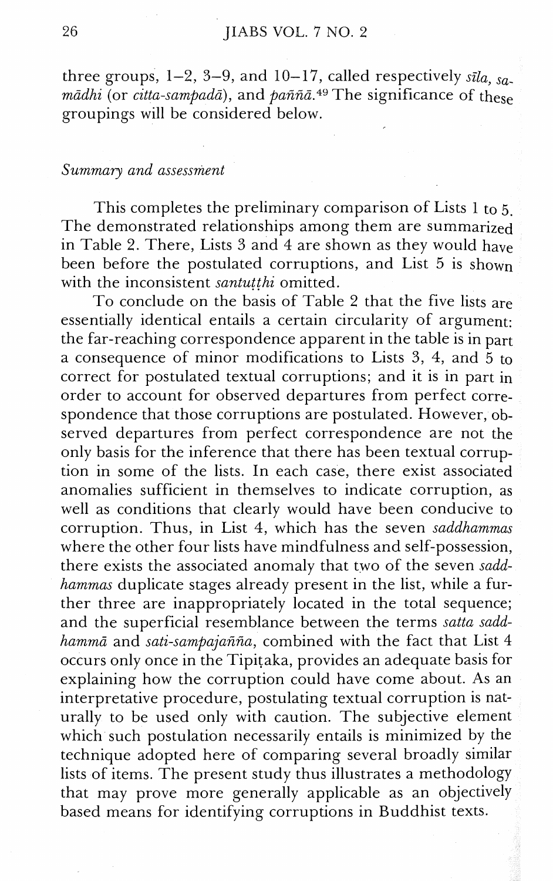three groups,  $1-2$ ,  $3-9$ , and  $10-17$ , called respectively  $s\bar{u}a$ ,  $s\bar{a}$ . *mādhi* (or *citta-sampadā*), and *paññā*.<sup>49</sup> The significance of these groupings will be considered below.

#### *Summary and assessment*

This completes the preliminary comparison of Lists 1 to *5.*  The demonstrated relationships among them are summarized in Table 2. There, Lists *3* and 4 are shown as they would have been before the postulated corruptions, and List *5* is shown with the inconsistent *santutthi* omitted.

To conclude on the basis of Table 2 that the five lists are essentially identical entails a certain circularity of argument: the far-reaching correspondence apparent in the table is in part a consequence of minor modifications to Lists *3,* 4, and *5* to correct for postulated textual corruptions; and it is in part in order to account for observed departures from perfect correspondence that those corruptions are postulated. However, observed departures from perfect correspondence are not the only basis for the inference that there has been textual corruption in some of the lists. In each case, there exist associated anomalies sufficient in themselves to indicate corruption, as well as conditions that clearly would have been conducive to corruption. Thus, in List 4, which has the seven *saddhammas*  where the other four lists have mindfulness and self-possession, there exists the associated anomaly that two of the seven *saddhammas* duplicate stages already present in the list, while a further three are inappropriately located in the total sequence; and the superficial resemblance between the terms *satta saddhamma* and *sati-sampajafifia,* combined with the fact that List 4 occurs only once in the Tipitaka, provides an adequate basis for explaining how the corruption could have come about. As an interpretative procedure, postulating textual corruption is naturally to be used only with caution. The subjective element which such postulation necessarily entails is minimized by the technique adopted here of comparing several broadly similar lists of items. The present study thus illustrates a methodology that may prove more generally applicable as an objectively based means for identifying corruptions in Buddhist texts.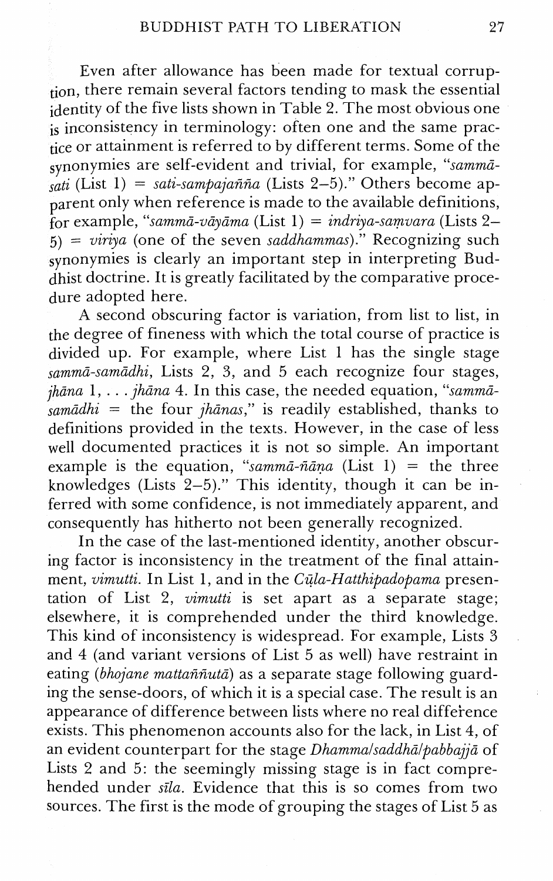Even after allowance has been made for textual corruption, there remain several factors tending to mask the essential identity of the five lists shown in Table 2. The most obvious one is inconsistency in terminology: often one and the same practice or attainment is referred to by different terms. Some of the synonymies are self-evident and trivial, for example, *"summa-*   $\int_{\text{Salt}}$  (List 1) = *sati-sampajañña* (Lists 2–5)." Others become apparent only when reference is made to the available definitions, for example, *"sa?nma-uayama* (List 1) = *indrzya-samvara* (Lists 2- *5)* = *viriya* (one of the seven *saddhammas)."* Recognizing such synonymies is clearly an important step in interpreting Buddhist doctrine. It is greatly facilitated by the comparative procedure adopted here.

A second obscuring factor is variation, from list to list, in the degree of fineness with which the total course of practice is divided up. For example, where List 1 has the single stage *summa-samadhi,* Lists 2, *3,* and 5 each recognize four stages, *jhana* 1, . . . *jhana 4.* In this case, the needed equation, *"samm& sumadhi* = the four *jhanas,"* is readily established, thanks to definitions provided in the texts. However, in the case of less well documented practices it is not so simple. An important example is the equation, "samma-ñana  $(List 1)$  = the three knowledges (Lists 2-5)." This identity, though it can be inferred with some confidence, is not immediately apparent, and consequently has hitherto not been generally recognized.

In the case of the last-mentioned identity, another obscuring factor is inconsistency in the treatment of the final attainment, *vimutti.* In List 1, and in the *Cula-Hatthipadopama* presentation of List 2, *vimutti* is set apart as a separate stage; elsewhere, it is comprehended under the third knowledge. This kind of inconsistency is widespread. For example, Lists 3 and 4 (and variant versions of List 5 as well) have restraint in eating *(bhojane mattafifiuta)* as a separate stage following guarding the sense-doors, of which it is a special case. The result is an appearance of difference between lists where no real difference exists. This phenomenon accounts also for the lack, in List 4, of an evident counterpart for the stage *Dhammalsaddhālpabbajjā* of Lists 2 and 5: the seemingly missing stage is in fact comprehended under *sila.* Evidence that this is so comes from two sources. The first is the mode of grouping the stages of List 5 as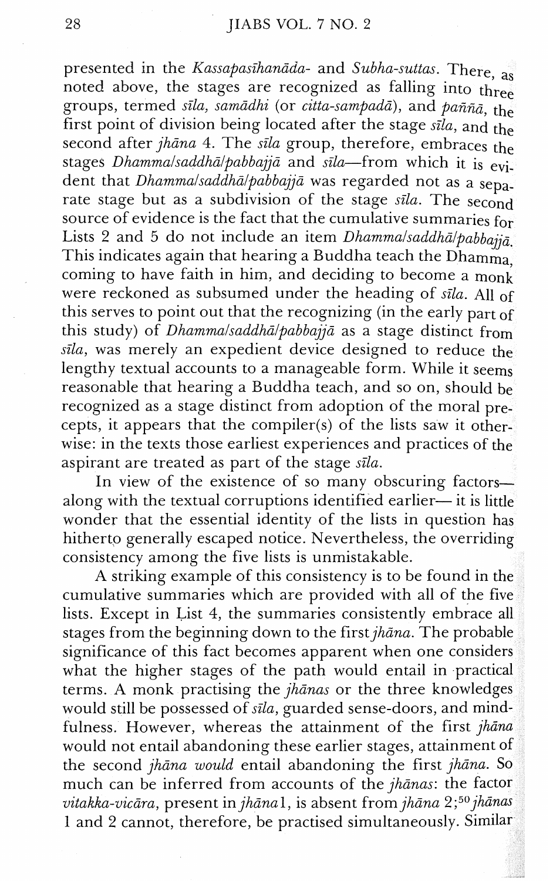presented in the Kassapasīhanāda- and Subha-suttas. There, as noted above, the stages are recognized as falling into three groups, termed sīla, samādhi (or citta-sampadā), and paññā, the first point of division being located after the stage  $s\bar{i}la$ , and the second after jhana 4. The sila group, therefore, embraces the stages Dhammalsaddhā/pabbajjā and sīla-from which it is evident that *Dhammalsaddhā/pabbajjā* was regarded not as a separate stage but as a subdivision of the stage sila. The second source of evidence is the fact that the cumulative summaries for Lists 2 and 5 do not include an item *Dhammalsaddhā/pabbajjā* This indicates again that hearing a Buddha teach the Dhamma, coming to have faith in him, and deciding to become a monk were reckoned as subsumed under the heading of sila. All of this serves to point out that the recognizing (in the early part of this study) of *Dhammalsaddhālpabbajjā* as a stage distinct from sila, was merely an expedient device designed to reduce the lengthy textual accounts to a manageable form. While it seems reasonable that hearing a Buddha teach, and so on, should be recognized as a stage distinct from adoption of the moral precepts, it appears that the compiler(s) of the lists saw it otherwise: in the texts those earliest experiences and practices of the aspirant are treated as part of the stage sila.

In view of the existence of so many obscuring factorsalong with the textual corruptions identified earlier— it is little wonder that the essential identity of the lists in question has hitherto generally escaped notice. Nevertheless, the overriding consistency among the five lists is unmistakable.

A striking example of this consistency is to be found in t cumulative summaries which are provided with all of the fi lists. Except in List 4, the summaries consistently embrace stages from the beginning down to the first  $jh$ *āna*. The probable significance of this fact becomes apparent when one considers what the higher stages of the path would entail in practical terms. A monk practising the  $jhānas$  or the three knowledges would still be possessed of sila, guarded sense-doors, and mindfulness. However, whereas the attainment of the first jhana would not entail abandoning these earlier stages, attainment the second jhana would entail abandoning the first jhana. So much can be inferred from accounts of the jhanas: the factor vitakka-vicāra, present in jhānal, is absent from jhāna  $2;^{50}$  jhānas 1 and 2 cannot, therefore, be practised simultaneously. Si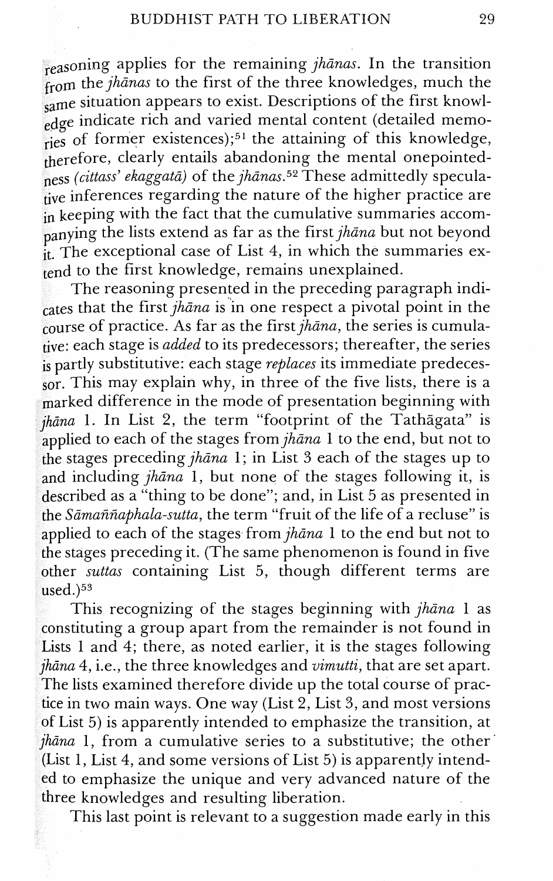reasoning applies for the remaining jhanas. In the transition from the jhanas to the first of the three knowledges, much the same situation appears to exist. Descriptions of the first knowledge indicate rich and varied mental content (detailed memories of former existences);<sup>51</sup> the attaining of this knowledge,  $t$ herefore, clearly entails abandoning the mental onepointedness (cittass' ekaggatā) of the jhānas.<sup>52</sup> These admittedly speculative inferences regarding the nature of the higher practice are in keeping with the fact that the cumulative summaries accompanying the lists extend as far as the first  $jhāna$  but not beyond it, The exceptional case of List 4, in which the summaries ex- $\frac{t}{1}$  to the first knowledge, remains unexplained.

The reasoning presented in the preceding paragraph indicates that the first  $j\hbar\bar{\sigma}$  is in one respect a pivotal point in the course of practice. As far as the first  $\hat{j}h\hat{\theta}$  the series is cumulative: each stage is *added* to its predecessors; thereafter, the series  $\frac{1}{18}$  partly substitutive: each stage *replaces* its immediate predeces- $\frac{1}{50}$ . This may explain why, in three of the five lists, there is a  $m$ arked difference in the mode of presentation beginning with  $i$ hāna 1. In List 2, the term "footprint of the Tathāgata" is applied to each of the stages from  $jh\bar{a}na$  1 to the end, but not to the stages preceding  $jh$ *āna* 1; in List 3 each of the stages up to and including  $jh\bar{a}na$  1, but none of the stages following it, is described as a "thing to be done"; and, in List 5 as presented in the  $S\bar{a}$ maññaphala-sutta, the term "fruit of the life of a recluse" is applied to each of the stages from  $jh$ *āna* 1 to the end but not to the stages preceding it. (The same phenomenon is found in five other suttas containing List  $5$ , though different terms are  $used$ .) $53$ 

This recognizing of the stages beginning with  $jh$ *āna* 1 as constituting a group apart from the remainder is not found in Lists 1 and 4; there, as noted earlier, it is the stages following  $\mu$ *hāna* 4, i.e., the three knowledges and *vimutti*, that are set apart. The lists examined therefore divide up the total course of pracn two main ways. One way (List 2, List **3,** and most versions of List 5) is apparently intended to emphasize the transition, at  $\eta$ hāna 1, from a cumulative series to a substitutive; the other (List 1, List 4, and some versions of List  $5$ ) is apparently intended to emphasize the unique and very advanced nature of the three knowledges and resulting liberation.

This last point is relevant to a suggestion made early in this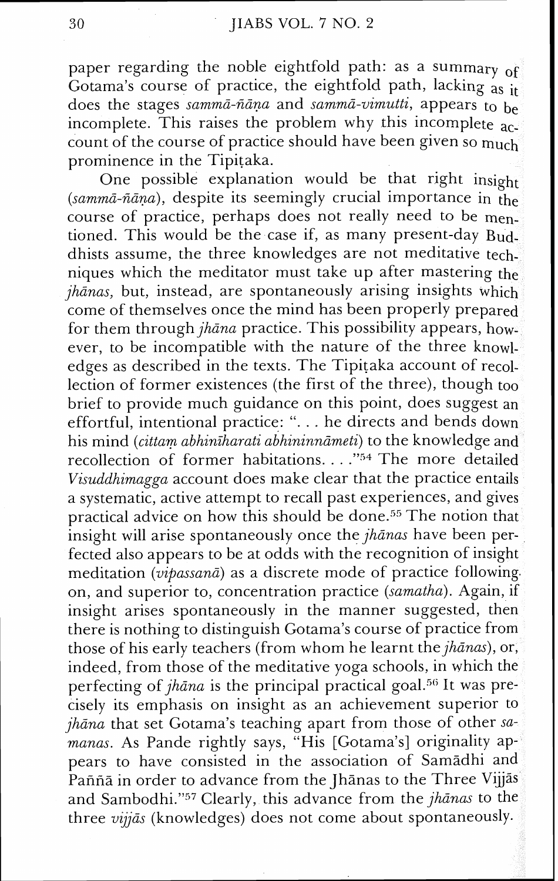paper regarding the noble eightfold path: as a summary of Gotama's course of practice, the eightfold path, lacking as it does the stages sammā-ñāṇa and sammā-vimutti, appears to be incomplete. This raises the problem why this incomplete  $\overline{ac}$ count of the course of practice should have been given so much prominence in the Tipitaka.

One possible explanation would be that right insight  $(sammā-ñāna)$ , despite its seemingly crucial importance in the course of practice, perhaps does not really need to be mentioned. This would be the case if, as many present-day Buddhists assume, the three knowledges are not meditative techniques which the meditator must take up after mastering the  $i\hbar\$ {a}nas, but, instead, are spontaneously arising insights which come of themselves once the mind has been properly prepared for them through *jhāna* practice. This possibility appears, however, to be incompatible with the nature of the three knowledges as described in the texts. The Tipitaka account of recollection of former existences (the first of the three), though too brief to provide much guidance on this point, does suggest an effortful, intentional practice: ". . . he directs and bends down his mind (cittam abhiniharati abhininnāmeti) to the knowledge and recollection of former habitations. . . ."54 The more detailed Visuddhimagga account does make clear that the practice entails a systematic, active attempt to recall past experiences, and gives practical advice on how this should be done.<sup>55</sup> The notion that insight will arise spontaneously once the  $jh\bar{a}nas$  have been perfected also appears to be at odds with the recognition of insight meditation (*vipassanā*) as a discrete mode of practice following. on, and superior to, concentration practice (samatha). Again, if insight arises spontaneously in the manner suggested, then there is nothing to distinguish Gotama's course of practice from those of his early teachers (from whom he learnt the  $jh\bar{a}nas$ ), or, indeed, from those of the meditative yoga schools, in which t perfecting of  $jhāna$  is the principal practical goal.<sup>56</sup> It was precisely its emphasis on insight as an achievement superior  $i\hbar$ *ana* that set Gotama's teaching apart from those of other samanas. As Pande rightly says, "His [Gotama's] originality appears to have consisted in the association of Samadhi and Pañña in order to advance from the Jhānas to the Three Vijjās and Sambodhi." $57$  Clearly, this advance from the jhanas to the three  $viij\bar{a}s$  (knowledges) does not come about spontaneously.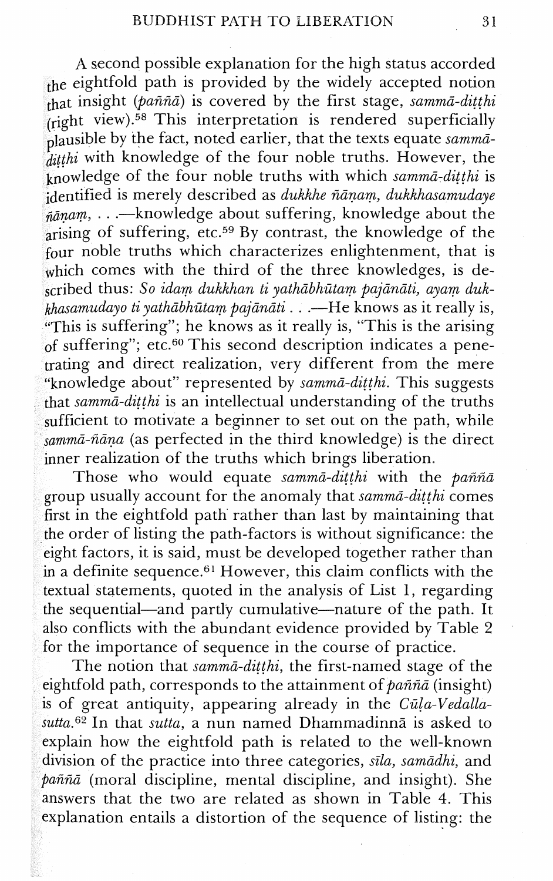A second possible explanation for the high status accorded the eightfold path is provided by the widely accepted notion that insight ( $\hat{p}$ aññ $\bar{a}$ ) is covered by the first stage, samm $\bar{a}$ -ditthi (right view). $58$  This interpretation is rendered superficially plausible by the fact, noted earlier, that the texts equate sammā- $\frac{p}{\text{d}t}$  is the knowledge of the four noble truths. However, the  $\sum_{k=1}^{n}$  is a set of the four noble truths with which samma-ditthi is  $\frac{1}{10}$ dentified is merely described as dukkhe ñānam, dukkhasamudaye  $\tilde{h}$ алат, ...—knowledge about suffering, knowledge about the  $arising$  of suffering, etc.<sup>59</sup> By contrast, the knowledge of the four noble truths which characterizes enlightenment, that is which comes with the third of the three knowledges, is described thus: So idam dukkhan ti yathābhūtam pajānāti, ayam duk $k$ hasamudayo ti yathābhūtam pajānāti  $\ldots$ —He knows as it really is, i'This is suffering"; he knows as it really is, "This is the arising of suffering"; etc.<sup>60</sup> This second description indicates a penetrating and direct realization, very different from the mere "knowledge about" represented by samma-ditthi. This suggests that samma-ditthi is an intellectual understanding of the truths sufficient to motivate a beginner to set out on the path, while sammā-ñāna (as perfected in the third knowledge) is the direct inner realization of the truths which brings liberation.

Those who would equate samm $\bar{a}$ -ditthi with the pañña group usually account for the anomaly that samma-ditthi comes first in the eightfold path rather than last by maintaining that the order of listing the path-factors is without significance: the eight factors, it is said, must be developed together rather than in a definite sequence.<sup>61</sup> However, this claim conflicts with the textual statements, quoted in the analysis of List 1, regarding the sequential—and partly cumulative—nature of the path. It also conflicts with the abundant evidence provided by Table 2 for the importance of sequence in the course of practice.

The notion that samma-ditthi, the first-named stage of the eightfold path, corresponds to the attainment of pañña (insight) is of great antiquity, appearing already in the  $C\bar{u}$ la-Vedalla- $\textit{sutta}.62$  In that sutta, a nun named Dhammadinna is asked to explain how the eightfold path is related to the well-known division of the practice into three categories, sila, samādhi, and  $pañña$  (moral discipline, mental discipline, and insight). She answers that the two are related as shown in Table 4. This explanation entails a distortion of the sequence of listing: the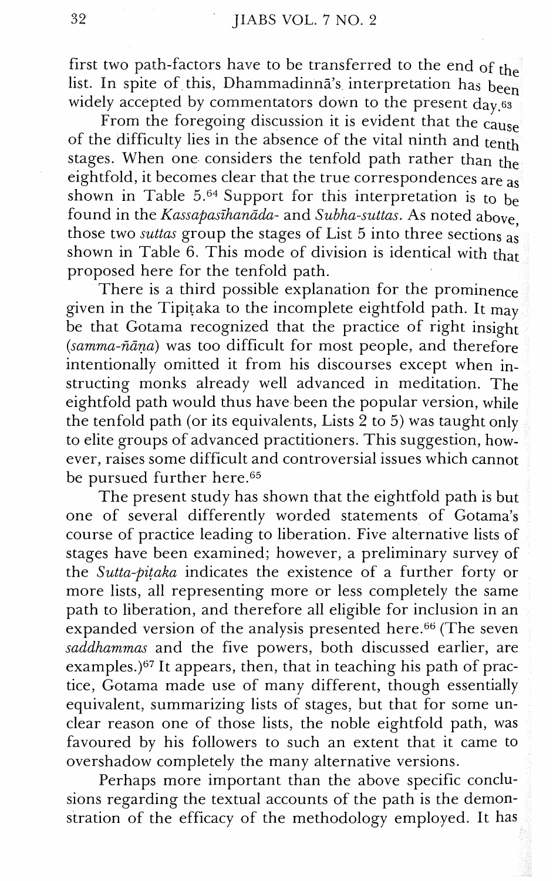first two path-factors have to be transferred to the end of the list. In spite of this, Dhammadinna's interpretation has been widely accepted by commentators down to the present  $d_{\text{av}}$  as

From the foregoing discussion it is evident that the  $c$ ause of the difficulty lies in the absence of the vital ninth and tenth stages. When one considers the tenfold path rather than the eightfold, it becomes clear that the true correspondences are as shown in Table 5.<sup>64</sup> Support for this interpretation is to be found in the Kassapasīhanāda- and Subha-suttas. As noted above, those two *suttas* group the stages of List 5 into three sections as shown in Table  $6.$  This mode of division is identical with that proposed here for the tenfold path.

There is a third possible explanation for the prominence given in the Tipitaka to the incomplete eightfold path. It may be that Gotama recognized that the practice of right insight  $(samma-\tilde{n}\bar{a}na)$  was too difficult for most people, and therefore intentionally omitted it from his discourses except when instructing monks already well advanced in meditation. The eightfold path would thus have been the popular version, while the tenfold path (or its equivalents, Lists 2 to *5)* was taught only to elite groups of advanced practitioners. This suggestion, however, raises some difficult and controversial issues which cannot be pursued further here.<sup>65</sup>

The present study has shown that the eightfold path is but one of several differently worded statements of Gotama's course of practice leading to liberation. Five alternative lists of stages have been examined; however, a preliminary survey of the Sutta-pitaka indicates the existence of a further forty or more lists, all representing more or less completely the same path to liberation, and therefore all eligible for inclusion in an expanded version of the analysis presented here. $66$  (The seven saddhammas and the five powers, both discussed earlier, are examples.) $67$  It appears, then, that in teaching his path of practice, Gotama made use of many different, though essentially equivalent, summarizing lists of stages, but that for some unclear reason one of those lists, the noble eightfold path, was favoured by his followers to such an extent that it came to overshadow completely the many alternative versions.

Perhaps more important than the above specific conclusions regarding the textual accounts of the path is the demonstration of the efficacy of the methodology employed. It has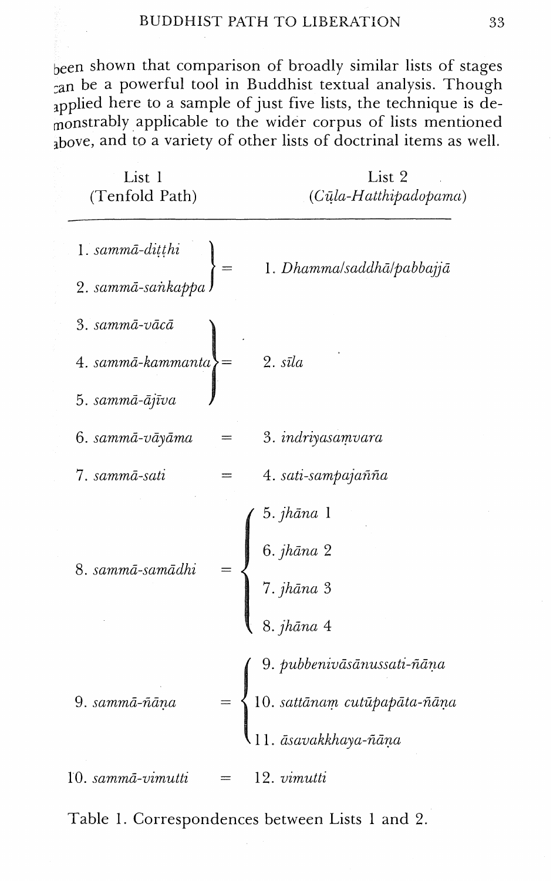been shown that comparison of broadly similar lists of stages  $\alpha$  an be a powerful tool in Buddhist textual analysis. Though applied here to a sample of just five lists, the technique is demonstrably applicable to the wider corpus of lists mentioned  $_{\text{above}}$ , and to a variety of other lists of doctrinal items as well.

| List 1<br>(Tenfold Path)                               |     | List 2<br>(Cūla-Hatthipadopama)                                                                                                   |  |  |  |
|--------------------------------------------------------|-----|-----------------------------------------------------------------------------------------------------------------------------------|--|--|--|
| 1. sammā-ditthi<br>2. sammā-sankappa                   |     | 1. Dhamma/saddhā/pabbajjā                                                                                                         |  |  |  |
| 3. sammā-vācā<br>$4. sammā-kammanta$<br>5. sammā-ājīva |     | $2. s\bar{v}la$                                                                                                                   |  |  |  |
| 6. sammā-vāyāma                                        |     | 3. indriyasamvara                                                                                                                 |  |  |  |
| 7. sammā-sati                                          |     | 4. sati-sampajañña                                                                                                                |  |  |  |
| 8. sammā-samādhi                                       |     | $\left(\begin{array}{c} 5. \textit{jhāna} \ 1 \ 6. \textit{jhāna} \ 2 \ 7. \textit{jhāna} \ 3 \ \end{array}\right)$<br>8. jhāna 4 |  |  |  |
| 9. sammā-ñāņa                                          |     | († 9. pubbenivāsānussati-ñāṇa $10.~sat$ fānam cutūpapāta-ñāṇa $11.~\bar{a}$ savakkhaya-ñāṇa                                       |  |  |  |
| 10. sammā-vimutti                                      | $=$ | 12. vimutti                                                                                                                       |  |  |  |

Table 1. Correspondences between Lists 1 and 2.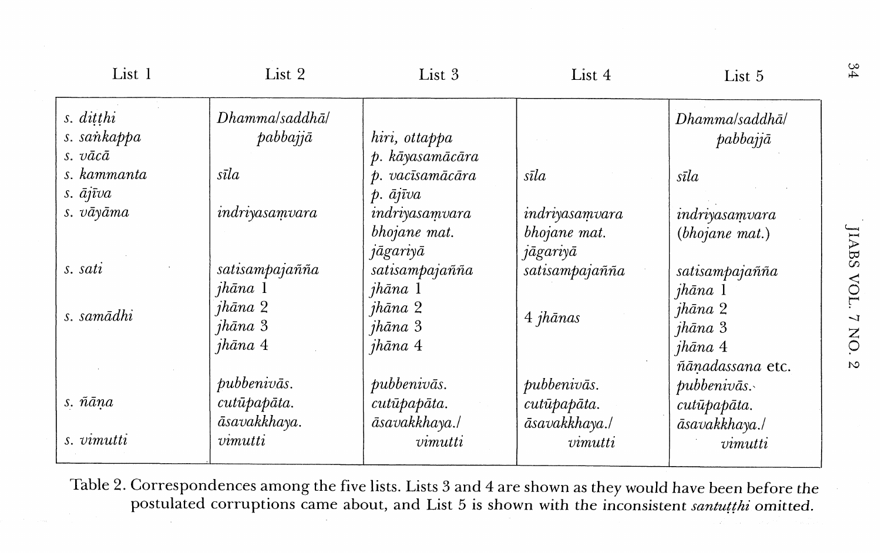| List 1      | List 2         | List 3                 | List 4         | List 5           |
|-------------|----------------|------------------------|----------------|------------------|
| s. ditthi   | Dhamma/saddhā/ |                        |                | Dhamma/saddhā/   |
| s. sankappa | pabbajjā       | hiri, ottappa          |                | pabbajjā         |
| s. vācā     |                | p. kāyasamācāra        |                |                  |
| s. kammanta | sīla           | p. vacīsamācāra        | sīla           | sīla             |
| s. ājīva    |                | $p. \bar{a}j\bar{v}va$ |                |                  |
| s. vāyāma   | indriyasamvara | indriyasamvara         | indriyasamvara | indriyasamvara   |
|             |                | bhojane mat.           | bhojane mat.   | (bhojane mat.)   |
|             |                | jāgariyā               | jāgariyā       |                  |
| s. sati     | satisampajañña | satisampajañña         | satisampajañña | satisampajañña   |
|             | jhāna 1        | jhāna 1                |                | jhāna 1          |
| s. samādhi  | jhāna 2        | jhāna 2                | 4 jhānas       | jhāna 2          |
|             | jhāna 3        | jhāna 3                |                | jhāna 3          |
|             | jhāna 4        | jhāna 4                |                | jhāna 4          |
|             |                |                        |                | ñānadassana etc. |
|             | pubbenivās.    | pubbenivās.            | pubbenivās.    | $\mu$ ubbenivās. |
| s. ñāņa     | cutūpapāta.    | cutūpapāta.            | cutūpapāta.    | cutūpapāta.      |
|             | āsavakkhaya.   | āsavakkhaya./          | āsavakkhaya./  | āsavakkhaya./    |
| s. vimutti  | vimutti        | vimutti                | vimutti        | vimutti          |
|             |                |                        |                |                  |

Table 2. Correspondences among the five lists. Lists **3** and 4 are shown as they would have been before the postulated corruptions came about, and List *5* is shown with the inconsistent *snntutthi* omitted.

JIABS VOL. 7 NO. 2

 $^{34}$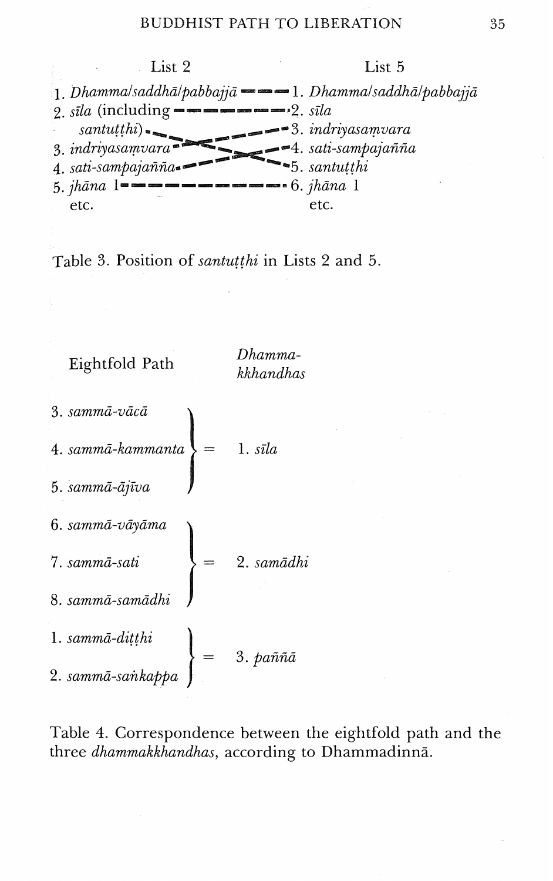

Table 3. Position of *santutthi* in Lists *2* and *5.* 

Eightfold Path *Dhammakkhandhas*  3. sammā-vācā 4. sammā-kammanta  $1. s\bar{\iota}la$ 5. sammā-ājīva 6. sammā-vāyāma 7. sammā-sati 2. samādhi 8. sammā-samādhi 1. sammā-diṭṭhi<br>2. sammā-saṅkappa  $3. \text{ }\hat{p}$ aññ $\tilde{a}$ 

Table 4. Correspondence between the eightfold path and the three *dhammakkhandhas,* according to Dhammadinna.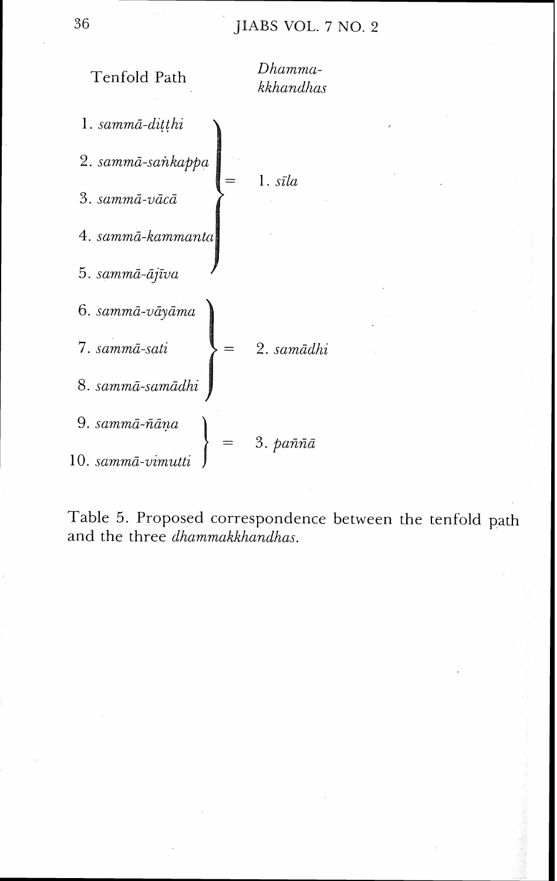## JIABS VOL. 7 NO. 2



Table 5. Proposed correspondence between the tenfold path and the three *dhammakkhandhas*.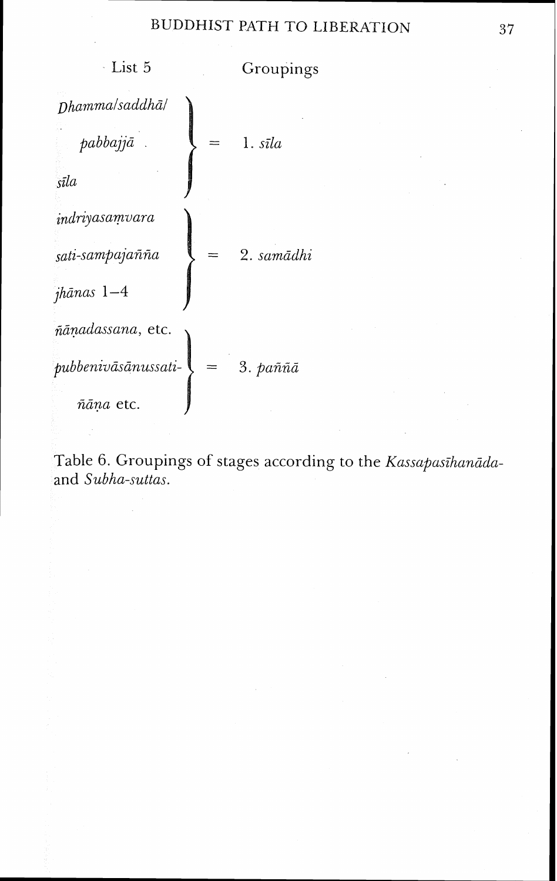

Table 6. Groupings of stages according to the *Kassapasihanāda*and *Subha-suttas.*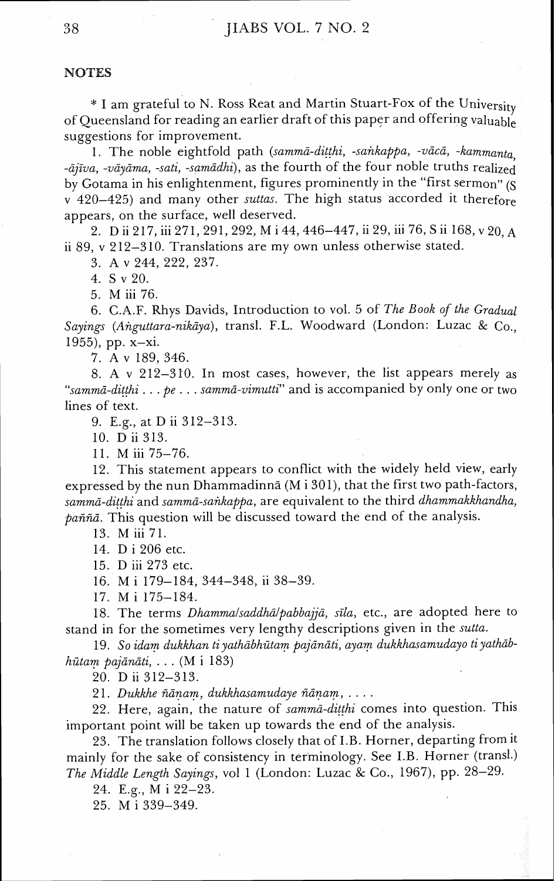#### **NOTES**

\* I am grateful to N. Ross Reat and Martin Stuart-Fox of the University of Queensland for reading an earlier draft of this paper and offering valuable suggestions for improvement.

1. The noble eightfold path *(summa-ditthi, -sunkappa, -udcii, -kammanta, -ānva, -vāvāma, -sati, -samādhi*), as the fourth of the four noble truths realized by Gotama in his enlightenment, figures prominently in the "first sermon" (S  $v(420-425)$  and many other *suttas*. The high status accorded it therefore appears, on the surface, well deserved.

2. D ii 217, iii 271, 291, 292, M i 44,446-447, ii 29, iii 76, S ii 168, v 20, **A**  ii 89, v 212-310. Translations are my own unless otherwise stated.

3. A v 244, 222, 237.

4. S v 20.

5. M iii 76.

6. C.A.F. Rhys Davids, Introduction to vol. 5 of *The Book of the Gradual Sayings (Anguttara-nikdya),* trans]. F.L. Woodward (London: Luzac & Co,, 1955), pp.  $x - xi$ .

7. A v 189, 346.

8. A v 212-310. In most cases, however, the list appears merely as *"sammd-ditthi* . . . *pe* . . . *sammd-uimutti"* and is accompanied by only one or two lines of text.

9. E.g., at D ii 312-313.

10. D ii 313.

11. M iii 75-76.

12. This statement appears to conflict with the widely held view, early expressed by the nun Dhammadinna (M i 301), that the first two path-factors, *sammd-ditthi* and *sammd-sunkappa,* are equivalent to the third *clhammakkhandha, paññā*. This question will be discussed toward the end of the analysis.

13. M iii 71.

14. D i 206 etc.

15. D iii 273 etc.

16. M i 179-184, 344-348, ii 38-39.

17. M i 175-184.

18. The terms *Dhamma/saddhā/pabbajjā*, *sīla*, etc., are adopted here to stand in for the sometimes very lengthy descriptions given in the *sutta.* 

19. *So idam dukkhun tiyathdbhzitam pajdndti, ayam dukkhasumudayo tiyathdbhatam pajdndti,* . . . (M i 183)

20. D ii 312-313.

21. *Dukkhe ñānam, dukkhasamudaye ñānam, ....* 

22. Here, again, the nature of *summa-ditthi* comes into question. This important point will be taken up towards the end of the analysis.

23. The translation follows closely that of I.B. Horner, departing from it mainly for the sake of consistency in terminology. See I.B. Horner (trans].) *The Middle Length Sayings,* vol *1* (London: Luzac & Co., 1967), pp. 28-29.

24. E.g., M i 22-23.

25. M i 339-349.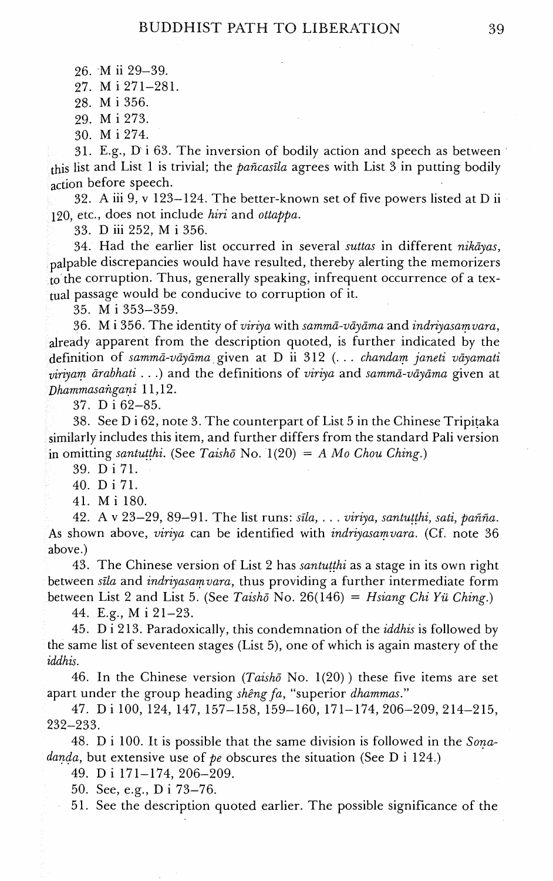26. M ii 29-39.

27. M i 271-281.

28. M i 356.

29. Mi 273.

30. M i 274.

31. E.g., D i 63. The inversion of bodily action and speech as between this list and List 1 is trivial; the *paficasila* agrees with List 3 in putting bodily action before speech.

32. A iii 9, v 123-124. The better-known set of five powers listed at D ii 120, etc., does not include *hiri* and *ottappa.* 

33. D iii 252, M i 356.

34. Had the earlier list occurred in several *suttas* in different *nikijas,*  <sub>palpable</sub> discrepancies would have resulted, thereby alerting the memorizers to the corruption. Thus, generally speaking, infrequent occurrence of a textual passage would be conducive to corruption of it.

35. M i 353-359.

36. M i 356. The identity of *uiriya* with *summa-uciydma* and *indriyasamvara,*  already apparent from the description quoted, is further indicated by the definition of *sammd-uciyima* given at *D* ii 312 (. . . *chandam janeti u6yamati viriyam arabhati* . . .) and the definitions of *uiriya* and *sammd-u6jama* given at *~hammasangani* 1 1,12.

37. D i 62-85.

38. See D i 62, note 3. The counterpart of List 5 in the Chinese Tripiraka similarly includes this item, and further differs from the standard Pali version in omitting *santutthi.* (See *Taisho* No.  $1(20) = A$  *Mo Chou Ching.*)

39. Di 71.

40. D i 71.

41. M i 180.

42. A v 23-29, 89-91. The list runs: *sila,* . . . *viriya, santutthi, sati, pafifia.*  As shown above, *uiriya* can be identified with *indrijasamuara.* (Cf. note 36 above.)

43. The Chinese version of List 2 has *santutthi* as a stage in its own right between *sila* and *indriyasamvara,* thus providing a further intermediate form between List 2 and List *5.* (See *Taishd* No. 26(146) = *Hsiang Chi Yu Ching.)* 

44. E.g., M i 21-23.

45. D i 213. Paradoxically, this condemnation of the *iddhis* is followed by the same list of seventeen stages (List 5), one of which is again mastery of the *iddhis.* 

46. In the Chinese version *(Taishci* No. l(20) ) these five items are set apart under the group heading *shêng fa*, "superior *dhammas.*"

47. D i 100, 124, 147, 157-158, 159-160, 171-174,206-209,214-215, 232-233.

48. D i 100. It is possible that the same division is followed in the *Sonadanda,* but extensive use of *pe* obscures the situation (See D i 124.)

49. D i 171-174, 206-209.

50. See, e.g., D i 73-76.

51. See the description quoted earlier. The possible significance of the